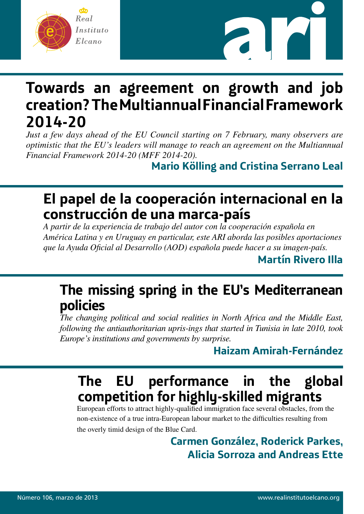



## **Towards an agreement on growth and job creation? The Multiannual Financial Framework 2014-20**

*Just a few days ahead of the EU Council starting on 7 February, many observers are optimistic that the EU's leaders will manage to reach an agreement on the Multiannual Financial Framework 2014-20 (MFF 2014-20).* 

**Mario Kölling and Cristina Serrano Leal**

## **El papel de la cooperación internacional en la construcción de una marca-país**

*A partir de la experiencia de trabajo del autor con la cooperación española en América Latina y en Uruguay en particular, este ARI aborda las posibles aportaciones que la Ayuda Oficial al Desarrollo (AOD) española puede hacer a su imagen-país.*

**Martín Rivero Illa**

## **The missing spring in the EU's Mediterranean policies**

*The changing political and social realities in North Africa and the Middle East, following the antiauthoritarian upris-ings that started in Tunisia in late 2010, took Europe's institutions and governments by surprise.*

## **Haizam Amirah-Fernández**

## **The EU performance in the global competition for highly-skilled migrants**

European efforts to attract highly-qualified immigration face several obstacles, from the non-existence of a true intra-European labour market to the difficulties resulting from the overly timid design of the Blue Card.

> **Carmen González, Roderick Parkes, Alicia Sorroza and Andreas Ette**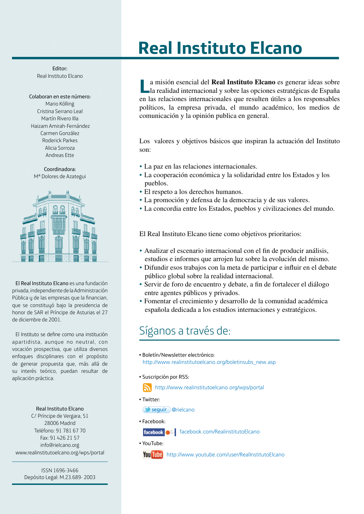## **Real Instituto Elcano**

Editor: Real Instituto Elcano

Colaboran en este número: Mario Kölling Cristina Serrano Leal Martín Rivero Illa Haizam Amirah-Fernández Carmen González Roderick Parkes Alicia Sorroza Andreas Ette

Coordinadora: Mª Dolores de Azategui



El Real Instituto Elcano es una fundación privada, independiente de la Administración Pública y de las empresas que la financian, que se constituyó bajo la presidencia de honor de SAR el Príncipe de Asturias el 27 de diciembre de 2001.

El Instituto se define como una institución apartidista, aunque no neutral, con vocación prospectiva, que utiliza diversos enfoques disciplinares con el propósito de generar propuesta que, más allá de su interés teórico, puedan resultar de aplicación práctica.

#### Real Instituto Elcano

C/ Príncipe de Vergara, 51 28006 Madrid Teléfono: 91 781 67 70 Fax: 91 426 21 57 info@rielcano.org www.realinstitutoelcano.org/wps/portal

> ISSN 1696-3466 Depósito Legal: M.23.689- 2003

**L**a misión esencial del **Real Instituto Elcano** es generar ideas sobre la realidad internacional y sobre las opciones estratégicas de España en las relaciones internacionales que resulten útiles a los responsables políticos, la empresa privada, el mundo académico, los medios de comunicación y la opinión publica en general.

Los valores y objetivos básicos que inspiran la actuación del Instituto son:

- La paz en las relaciones internacionales.
- La cooperación económica y la solidaridad entre los Estados y los pueblos.
- El respeto a los derechos humanos.
- La promoción y defensa de la democracia y de sus valores.
- La concordia entre los Estados, pueblos y civilizaciones del mundo.

El Real Instituto Elcano tiene como objetivos prioritarios:

- Analizar el escenario internacional con el fin de producir análisis, estudios e informes que arrojen luz sobre la evolución del mismo.
- Difundir esos trabajos con la meta de participar e influir en el debate público global sobre la realidad internacional.
- Servir de foro de encuentro y debate, a fin de fortalecer el diálogo entre agentes públicos y privados.
- Fomentar el crecimiento y desarrollo de la comunidad académica española dedicada a los estudios internaciones y estratégicos.

### Síganos a través de:

- Boletín/Newsletter electrónico: http://www.realinstitutoelcano.org/boletinsubs\_new.asp
- Suscripción por RSS:

http://www.realinstitutoelcano.org/wps/portal

• Twitter:

seguir @rielcano

• Facebook:

facebook.<sup>8</sup> facebook.com/RealinstitutoElcano

• YouTube:

You Tube http://www.youtube.com/user/RealInstitutoElcano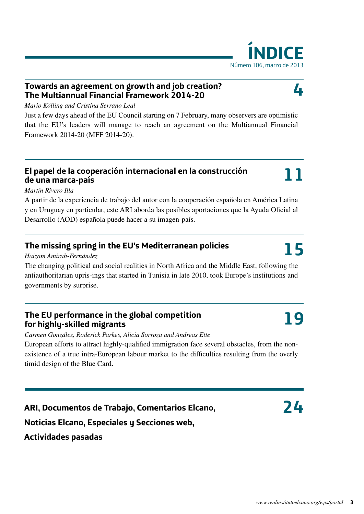### **Towards an agreement on growth and job creation? The Multiannual Financial Framework 2014-20**

*Mario Kölling and Cristina Serrano Leal*

Just a few days ahead of the EU Council starting on 7 February, many observers are optimistic that the EU's leaders will manage to reach an agreement on the Multiannual Financial Framework 2014-20 (MFF 2014-20).

### **El papel de la cooperación internacional en la construcción de una marca-país**

### *Martín Rivero Illa*

A partir de la experiencia de trabajo del autor con la cooperación española en América Latina y en Uruguay en particular, este ARI aborda las posibles aportaciones que la Ayuda Oficial al Desarrollo (AOD) española puede hacer a su imagen-país.

### **The missing spring in the EU's Mediterranean policies**

*Haizam Amirah-Fernández*

The changing political and social realities in North Africa and the Middle East, following the antiauthoritarian upris-ings that started in Tunisia in late 2010, took Europe's institutions and governments by surprise.

### **The EU performance in the global competition for highly-skilled migrants**

*Carmen González, Roderick Parkes, Alicia Sorroza and Andreas Ette*

European efforts to attract highly-qualified immigration face several obstacles, from the nonexistence of a true intra-European labour market to the difficulties resulting from the overly timid design of the Blue Card.

**ARI, Documentos de Trabajo, Comentarios Elcano, Noticias Elcano, Especiales y Secciones web, Actividades pasadas**

# Número 106, marzo de 2013

**NICE** 

**4**



**19**

**11**

**24**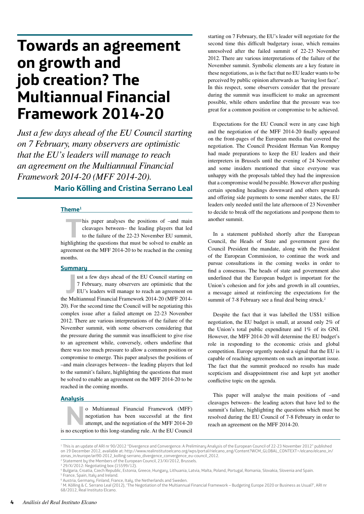## **Towards an agreement on growth and job creation? The Multiannual Financial Framework 2014-20**

*Just a few days ahead of the EU Council starting on 7 February, many observers are optimistic that the EU's leaders will manage to reach an agreement on the Multiannual Financial Framework 2014-20 (MFF 2014-20).* 

#### **Mario Kölling and Cristina Serrano Leal**

#### **Theme1**

his paper analyses the positions of –and main<br>cleavages between– the leading players that led<br>to the failure of the 22-23 November EU summit,<br>while this questions that must be solved to enable an cleavages between– the leading players that led to the failure of the 22-23 November EU summit, highlighting the questions that must be solved to enable an agreement on the MFF 2014-20 to be reached in the coming months.

#### **Summary**

**Journal Financial Financial Framework 2014-20 (MFF 2014-20)<br>
<b>Heading Multiannual Financial Framework 2014-20 (MFF 2014-20)** ust a few days ahead of the EU Council starting on 7 February, many observers are optimistic that the EU's leaders will manage to reach an agreement on 20). For the second time the Council will be negotiating this complex issue after a failed attempt on 22-23 November 2012. There are various interpretations of the failure of the November summit, with some observers considering that the pressure during the summit was insufficient to give rise to an agreement while, conversely, others underline that there was too much pressure to allow a common position or compromise to emerge. This paper analyses the positions of –and main cleavages between– the leading players that led to the summit's failure, highlighting the questions that must be solved to enable an agreement on the MFF 2014-20 to be reached in the coming months.

#### **Analysis**

o Multiannual Financial Framework (MFF)<br>negotiation has been successful at the first<br>attempt, and the negotiation of the MFF 2014-20<br>no exception to this long-standing rule. At the EU Council negotiation has been successful at the first attempt, and the negotiation of the MFF 2014-20 is no exception to this long-standing rule. At the EU Council

starting on 7 February, the EU's leader will negotiate for the second time this difficult budgetary issue, which remains unresolved after the failed summit of 22-23 November 2012. There are various interpretations of the failure of the November summit. Symbolic elements are a key feature in these negotiations, as is the fact that no EU leader wants to be perceived by public opinion afterwards as 'having lost face'. In this respect, some observers consider that the pressure during the summit was insufficient to make an agreement possible, while others underline that the pressure was too great for a common position or compromise to be achieved.

Expectations for the EU Council were in any case high and the negotiation of the MFF 2014-20 finally appeared on the front-pages of the European media that covered the negotiation. The Council President Herman Van Rompuy had made preparations to keep the EU leaders and their interpreters in Brussels until the evening of 24 November and some insiders mentioned that since everyone was unhappy with the proposals tabled they had the impression that a compromise would be possible. However after pushing certain spending headings downward and others upwards and offering side payments to some member states, the EU leaders only needed until the late afternoon of 23 November to decide to break off the negotiations and postpone them to another summit.

In a statement published shortly after the European Council, the Heads of State and government gave the Council President the mandate, along with the President of the European Commission, to continue the work and pursue consultations in the coming weeks in order to find a consensus. The heads of state and government also underlined that the European budget is important for the Union's cohesion and for jobs and growth in all countries, a message aimed at reinforcing the expectations for the summit of 7-8 February see a final deal being struck.<sup>2</sup>

Despite the fact that it was labelled the US\$1 trillion negotiation, the EU budget is small, at around only 2% of the Union's total public expenditure and 1% of its GNI. However, the MFF 2014-20 will determine the EU budget's role in responding to the economic crisis and global competition. Europe urgently needed a signal that the EU is capable of reaching agreements on such an important issue. The fact that the summit produced no results has made scepticism and disappointment rise and kept yet another conflictive topic on the agenda.

This paper will analyse the main positions of –and cleavages between– the leading actors that have led to the summit's failure, highlighting the questions which must be resolved during the EU Council of 7-8 February in order to reach an agreement on the MFF 2014-20.

- 2 Statement by the Members of the European Council, 23/XI/2012, Brussels.
- 3 29/X/2012: Negotiating box (15599/12).
- 4 Bulgaria, Croatia, Czech Republic, Estonia, Greece, Hungary, Lithuania, Latvia, Malta, Poland, Portugal, Romania, Slovakia, Slovenia and Spain.
- 5 France, Spain, Italy and Ireland.

<sup>1</sup> This is an update of ARI nr 90/2012 "Divergence and Convergence: A Preliminary Analysis of the European Council of 22-23 November 2012" published on 19 December 2012, available at: http://www.realinstitutoelcano.org/wps/portal/rielcano\_eng/Content?WCM\_GLOBAL\_CONTEXT=/elcano/elcano\_in/ zonas\_in/europe/ari90-2012\_kolling-serrano\_divergence\_convergence\_eu-council\_2012.

<sup>&</sup>lt;sup>6</sup> Austria, Germany, Finland, France, Italy, the Netherlands and Sweden.<br><sup>7</sup> M. Kölling & C. Serrano Leal (2012), 'The Negotiation of the Multiannual Financial Framework – Budgeting Europe 2020 or Business as Usual?', ARI 68/2012, Real Instituto Elcano.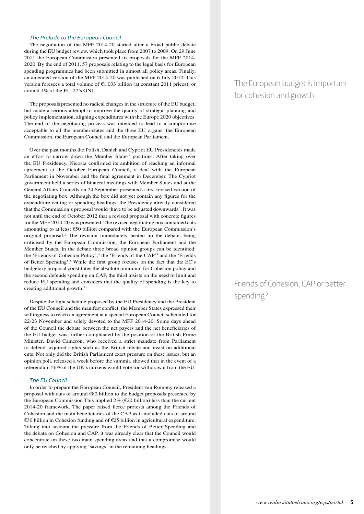#### *The Prelude to the European Council*

The negotiation of the MFF 2014-20 started after a broad public debate during the EU budget review, which took place from 2007 to 2009. On 29 June 2011 the European Commission presented its proposals for the MFF 2014- 2020. By the end of 2011, 57 proposals relating to the legal basis for European spending programmes had been submitted in almost all policy areas. Finally, an amended version of the MFF 2014-20 was published on 6 July 2012. This version foresees a total volume of  $\epsilon$ 1,033 billion (at constant 2011 prices), or around 1% of the EU-27's GNI.

The proposals presented no radical changes in the structure of the EU budget, but made a serious attempt to improve the quality of strategic planning and policy implementation, aligning expenditures with the Europe 2020 objectives. The end of the negotiating process was intended to lead to a compromise acceptable to all the member-states and the three EU organs: the European Commission, the European Council and the European Parliament.

Over the past months the Polish, Danish and Cypriot EU Presidencies made an effort to narrow down the Member States' positions. After taking over the EU Presidency, Nicosia confirmed its ambition of reaching an informal agreement at the October European Council, a deal with the European Parliament in November and the final agreement in December. The Cypriot government held a series of bilateral meetings with Member States and at the General Affairs Councils on 24 September presented a first revised version of the negotiating box. Although the box did not yet contain any figures for the expenditure ceiling or spending headings, the Presidency already considered that the Commission's proposal would 'have to be adjusted downwards'. It was not until the end of October 2012 that a revised proposal with concrete figures for the MFF 2014-20 was presented. The revised negotiating box contained cuts amounting to at least  $€50$  billion compared with the European Commission's original proposal.<sup>3</sup> The revision immediately heated up the debate, being criticised by the European Commission, the European Parliament and the Member States. In the debate three broad opinion groups can be identified: the 'Friends of Cohesion Policy',<sup>4</sup> the 'Friends of the CAP'<sup>5</sup> and the 'Friends of Better Spending'.<sup>6</sup> While the first group focuses on the fact that the EC's budgetary proposal constitutes the absolute minimum for Cohesion policy and the second defends spending on CAP, the third insists on the need to limit and reduce EU spending and considers that the quality of spending is the key to creating additional growth.7

Despite the tight schedule proposed by the EU Presidency and the President of the EU Council and the manifest conflict, the Member States expressed their willingness to reach an agreement at a special European Council scheduled for 22-23 November and solely devoted to the MFF 2014-20. Some days ahead of the Council the debate between the net payers and the net beneficiaries of the EU budget was further complicated by the position of the British Prime Minister, David Cameron, who received a strict mandate from Parliament to defend acquired rights such as the British rebate and insist on additional cuts. Not only did the British Parliament exert pressure on these issues, but an opinion poll, released a week before the summit, showed that in the event of a referendum 56% of the UK's citizens would vote for withdrawal from the EU.

#### *The EU Council*

In order to prepare the European Council, President van Rompuy released a proposal with cuts of around €80 billion to the budget proposals presented by the European Commission This implied  $2\%$  ( $E20$  billion) less than the current 2014-20 framework. The paper raised fierce protests among the Friends of Cohesion and the main beneficiaries of the CAP as it included cuts of around €30 billion in Cohesion funding and of €25 billion in agricultural expenditure. Taking into account the pressure from the Friends of Better Spending and the debate on Cohesion and CAP, it was already clear that the Council would concentrate on these two main spending areas and that a compromise would only be reached by applying 'savings' in the remaining headings.

### The European budget is important for cohesion and growth

### Friends of Cohesion, CAP or better spending?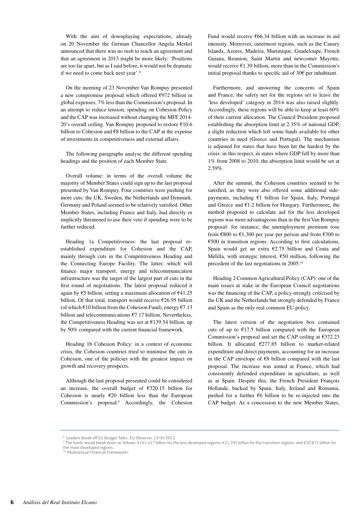With the aim of downplaying expectations, already on 20 November the German Chancellor Angela Merkel announced that there was no rush to reach an agreement and that an agreement in 2013 might be more likely: 'Positions are too far apart, but as I said before, it would not be dramatic if we need to come back next year'.8

On the morning of 23 November Van Rompuy presented a new compromise proposal which offered €972 billion in global expenses, 7% less than the Commission's proposal. In an attempt to reduce tension, spending on Cohesion Policy and the CAP was increased without changing the MFF 2014- 20's overall ceiling. Van Rompuy proposed to restore  $£10.6$ billion to Cohesion and €8 billion to the CAP at the expense of investments in competitiveness and external affairs.

The following paragraphs analyse the different spending headings and the position of each Member State.

Overall volume: in terms of the overall volume the majority of Member States could sign up to the last proposal presented by Van Rompuy. Four countries were pushing for more cuts: the UK, Sweden, the Netherlands and Denmark. Germany and Poland seemed to be relatively satisfied. Other Member States, including France and Italy, had directly or implicitly threatened to use their veto if spending were to be further reduced.

Heading 1a Competitiveness: the last proposal reestablished expenditure for Cohesion and the CAP, mainly through cuts in the Competitiveness Heading and the Connecting Europe Facility. The latter, which will finance major transport, energy and telecommunication infrastructure was the target of the largest part of cuts in the first round of negotiations. The latest proposal reduced it again by  $\epsilon$ 5 billion, setting a maximum allocation of  $\epsilon$ 41.25 billion. Of that total, transport would receive €26.95 billion (of which  $\epsilon$ 10 billion from the Cohesion Fund), energy  $\epsilon$ 7.13 billion and telecommunications €7.17 billion. Nevertheless, the Competitiveness Heading was set at  $£139.54$  billion, up by 50% compared with the current financial framework.

Heading 1b Cohesion Policy: in a context of economic crisis, the Cohesion countries tried to minimise the cuts in Cohesion, one of the policies with the greatest impact on growth and recovery prospects.

Although the last proposal presented could be considered an increase, the overall budget of  $£320.15$  billion for Cohesion is nearly  $E20$  billion less than the European Commission's proposal.9 Accordingly, the Cohesion Fund would receive €66.34 billion with an increase in aid intensity. Moreover, outermost regions, such as the Canary Islands, Azores, Madeira, Martinique, Guadeloupe, French Guiana, Reunion, Saint Martin and newcomer Mayotte, would receive  $\epsilon$ 1.39 billion, more than in the Commission's initial proposal thanks to specific aid of 30€ per inhabitant.

Furthermore, and answering the concerns of Spain and France, the safety net for the regions set to leave the 'less developed' category in 2014 was also raised slightly. Accordingly, these regions will be able to keep at least 60% of their current allocation. The Council President proposed establishing the absorption limit at 2.35% of national GDP, a slight reduction which left some funds available for other countries in need (Greece and Portugal). The mechanism is adjusted for states that have been hit the hardest by the crisis: in this respect, in states where GDP fell by more than 1% from 2008 to 2010, the absorption limit would be set at 2.59%.

After the summit, the Cohesion countries seemed to be satisfied, as they were also offered some additional sidepayments, including €1 billion for Spain, Italy, Portugal and Greece and  $E1.2$  billion for Hungary. Furthermore, the method proposed to calculate aid for the less developed regions was more advantageous than in the first Van Rompuy proposal: for instance, the unemployment premium rose from  $\text{\textsterling}800$  to  $\text{\textsterling}1,300$  per year per person and from  $\text{\textsterling}300$  to €500 in transition regions. According to first calculations, Spain would get an extra €2.75 billion and Ceuta and Melilla, with strategic interest,  $€50$  million, following the precedent of the last negotiations in 2005.10

Heading 2 Common Agricultural Policy (CAP): one of the main issues at stake in the European Council negotiations was the financing of the CAP, a policy strongly criticised by the UK and the Netherlands but strongly defended by France and Spain as the only real common EU policy.

The latest version of the negotiation box contained cuts of up to  $£17.5$  billion compared with the European Commission's proposal and set the CAP ceiling at €372.23 billion. It allocated €277.85 billion to market-related expenditure and direct payments, accounting for an increase in the CAP envelope of €8 billion compared with the last proposal. The increase was aimed at France, which had consistently defended expenditure in agriculture, as well as at Spain. Despite this, the French President François Hollande, backed by Spain, Italy, Ireland and Romania, pushed for a further €6 billion to be re-injected into the CAP budget. As a concession to the new Member States,

<sup>8</sup> 'Leaders Break off EU Budget Talks', EU Observer, 23/XI/2012.

<sup>9</sup> The funds would break down as follows: €161.427 billion for the less developed regions; €31.393 billion for the transition regions; and €50.872 billion for the more developed regions.

<sup>10 &#</sup>x27;Multiannual Financial Framework/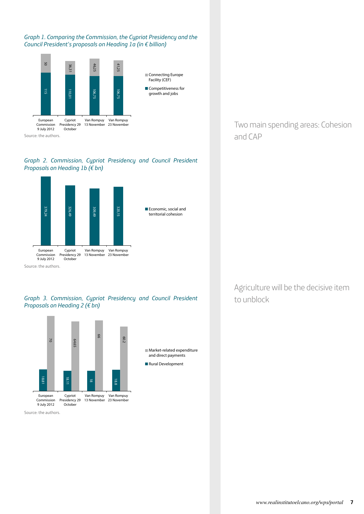*Graph 1. Comparing the Commission, the Cypriot Presidency and the Council President's proposals on Heading 1a (in € billion)*











Source: the authors.

Two main spending areas: Cohesion and CAP

Agriculture will be the decisive item to unblock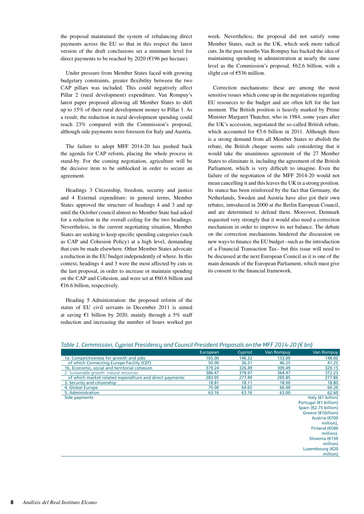the proposal maintained the system of rebalancing direct payments across the EU so that in this respect the latest version of the draft conclusions set a minimum level for direct payments to be reached by 2020 ( $\epsilon$ 196 per hectare).

Under pressure from Member States faced with growing budgetary constraints, greater flexibility between the two CAP pillars was included. This could negatively affect Pillar 2 (rural development) expenditure. Van Rompuy's latest paper proposed allowing all Member States to shift up to 15% of their rural development money to Pillar 1. As a result, the reduction in rural development spending could reach 23% compared with the Commission's proposal, although side payments were foreseen for Italy and Austria.

The failure to adopt MFF 2014-20 has pushed back the agenda for CAP reform, placing the whole process in stand-by. For the coming negotiation, agriculture will be the decisive item to be unblocked in order to secure an agreement.

Headings 3 Citizenship, freedom, security and justice and 4 External expenditure: in general terms, Member States approved the structure of headings 4 and 3 and up until the October council almost no Member State had asked for a reduction in the overall ceiling for the two headings. Nevertheless, in the current negotiating situation, Member States are seeking to keep specific spending categories (such as CAP and Cohesion Policy) at a high level, demanding that cuts be made elsewhere. Other Member States advocate a reduction in the EU budget independently of where. In this context, headings 4 and 3 were the most affected by cuts in the last proposal, in order to increase or maintain spending on the CAP and Cohesion, and were set at €60.6 billion and  $€16.6$  billion, respectively.

Heading 5 Administration: the proposed reform of the status of EU civil servants in December 2011 is aimed at saving  $\epsilon$ 1 billion by 2020, mainly through a 5% staff reduction and increasing the number of hours worked per

of which market-related expenditure and direct payments

5. Administration<br>Side payments

week. Nevertheless, the proposal did not satisfy some Member States, such as the UK, which seek more radical cuts. In the past months Van Rompuy has backed the idea of maintaining spending in administration at nearly the same level as the Commission's proposal, €62.6 billion, with a slight cut of €536 million.

Correction mechanisms: these are among the most sensitive issues which come up in the negotiations regarding EU resources to the budget and are often left for the last moment. The British position is heavily marked by Prime Minister Margaret Thatcher, who in 1984, some years after the UK's accession, negotiated the so-called British rebate, which accounted for  $\epsilon$ 3.6 billion in 2011. Although there is a strong demand from all Member States to abolish the rebate, the British cheque seems safe considering that it would take the unanimous agreement of the 27 Member States to eliminate it, including the agreement of the British Parliament, which is very difficult to imagine. Even the failure of the negotiation of the MFF 2014-20 would not mean cancelling it and this leaves the UK in a strong position. Its stance has been reinforced by the fact that Germany, the Netherlands, Sweden and Austria have also got their own rebates, introduced in 2000 at the Berlin European Council, and are determined to defend them. Moreover, Denmark requested very strongly that it would also need a correction mechanism in order to improve its net balance. The debate on the correction mechanisms hindered the discussion on new ways to finance the EU budget –such as the introduction of a Financial Transaction Tax– but this issue will need to be discussed at the next European Council as it is one of the main demands of the European Parliament, which must give its consent to the financial framework.

|                                               | European | Cypriot | Van Rompuy | <b>Van Rompuy</b> |  |  |
|-----------------------------------------------|----------|---------|------------|-------------------|--|--|
| 1a. Competitiveness for growth and jobs       | 165.00   | 146.32  | 153.00     | 148.00            |  |  |
| of which Connecting Europe Facility (CEF)     | 50.00    | 36.31   | 46.25      | 41.25             |  |  |
| 1b. Economic, social and territorial cohesion | 379.24   | 326.49  | 309.49     | 320.15            |  |  |

*Table 1. Commission, Cypriot Presidency and Council President Proposals on the MFF 2014-20 (€ bn)*

2. Sustainable growth: natural resources<br>
272.23<br>
277.40 378.97 364.47 372.23<br>
277.40 269.85 277.86

3.80 Security and citizenship 18.80 18.80 18.80 18.80 18.80 18.80 18.80 18.80 18.80 18.80 4. Global Europe 68.20<br>
5. Administration 63.16 63.16 63.16 63.00 60.20<br>
5. Administration 62.60 62.60 62.60

> Italy (€1 billon) Portugal (€1 billion) Spain (€2.75 billion) Greece (€1billion) Austria (€700 million), Finland (€500 million), Slovenia (€150 million) Luxembourg (€20 million)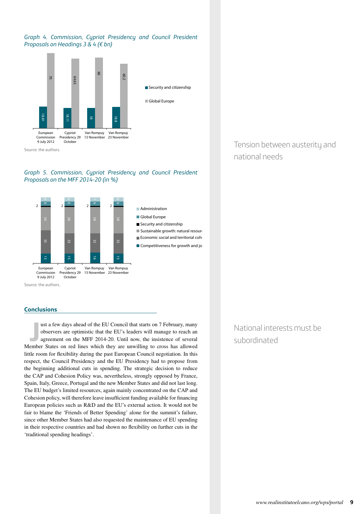#### *Graph 4. Commission, Cypriot Presidency and Council President Proposals on Headings 3 & 4 (€ bn)*



#### *Graph 5. Commission, Cypriot Presidency and Council President Proposals on the MFF 2014-20 (in %)*



Source: the authors.

#### **Conclusions**

In ust a few days ahead of the EU Council that starts on 7 February, many observers are optimistic that the EU's leaders will manage to reach an agreement on the MFF 2014-20. Until now, the insistence of several Member Sta ust a few days ahead of the EU Council that starts on 7 February, many observers are optimistic that the EU's leaders will manage to reach an agreement on the MFF 2014-20. Until now, the insistence of several little room for flexibility during the past European Council negotiation. In this respect, the Council Presidency and the EU Presidency had to propose from the beginning additional cuts in spending. The strategic decision to reduce the CAP and Cohesion Policy was, nevertheless, strongly opposed by France, Spain, Italy, Greece, Portugal and the new Member States and did not last long. The EU budget's limited resources, again mainly concentrated on the CAP and Cohesion policy, will therefore leave insufficient funding available for financing European policies such as R&D and the EU's external action. It would not be fair to blame the 'Friends of Better Spending' alone for the summit's failure, since other Member States had also requested the maintenance of EU spending in their respective countries and had shown no flexibility on further cuts in the 'traditional spending headings'.

Tension between austerity and national needs

### National interests must be subordinated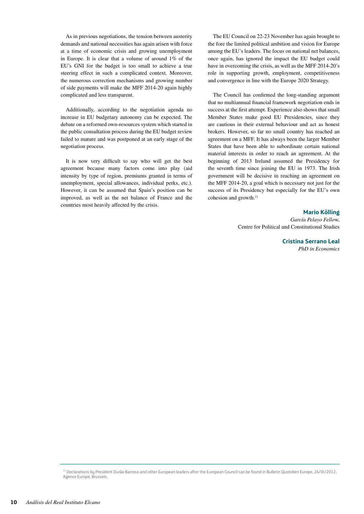As in previous negotiations, the tension between austerity demands and national necessities has again arisen with force at a time of economic crisis and growing unemployment in Europe. It is clear that a volume of around 1% of the EU's GNI for the budget is too small to achieve a true steering effect in such a complicated context. Moreover, the numerous correction mechanisms and growing number of side payments will make the MFF 2014-20 again highly complicated and less transparent.

Additionally, according to the negotiation agenda no increase in EU budgetary autonomy can be expected. The debate on a reformed own-resources system which started in the public consultation process during the EU budget review failed to mature and was postponed at an early stage of the negotiation process.

It is now very difficult to say who will get the best agreement because many factors come into play (aid intensity by type of region, premiums granted in terms of unemployment, special allowances, individual perks, etc.). However, it can be assumed that Spain's position can be improved, as well as the net balance of France and the countries most heavily affected by the crisis.

The EU Council on 22-23 November has again brought to the fore the limited political ambition and vision for Europe among the EU's leaders. The focus on national net balances, once again, has ignored the impact the EU budget could have in overcoming the crisis, as well as the MFF 2014-20's role in supporting growth, employment, competitiveness and convergence in line with the Europe 2020 Strategy.

The Council has confirmed the long-standing argument that no multiannual financial framework negotiation ends in success at the first attempt. Experience also shows that small Member States make good EU Presidencies, since they are cautious in their external behaviour and act as honest brokers. However, so far no small country has reached an agreement on a MFF. It has always been the larger Member States that have been able to subordinate certain national material interests in order to reach an agreement. At the beginning of 2013 Ireland assumed the Presidency for the seventh time since joining the EU in 1973. The Irish government will be decisive in reaching an agreement on the MFF 2014-20, a goal which is necessary not just for the success of its Presidency but especially for the EU's own cohesion and growth.<sup>11</sup>

#### **Mario Kölling**

*García Pelayo Fello*w, Centre for Political and Constitutional Studies

> **Cristina Serrano Leal** *PhD in Economics*

<sup>&</sup>lt;sup>11</sup> Declarations by President Durão Barroso and other European leaders after the European Council can be found in Bulletin Quotidien Europe, 24/XI/2012, Agence Europe, Brussels.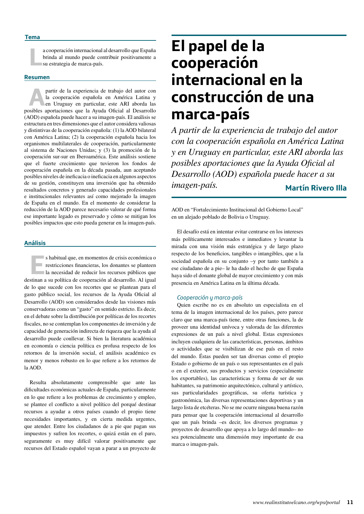**L**a cooperación internacional al desarrollo que España brinda al mundo puede contribuir positivamente a su estrategia de marca-país.

#### **Resumen**

**A**partir de la experiencia de trabajo del autor con la cooperación española en América Latina y en Uruguay en particular, este ARI aborda las posibles aportaciones que la Ayuda Oficial al Desarrollo (AOD) española puede hacer a su imagen-país. El análisis se estructura en tres dimensiones que el autor considera valiosas y distintivas de la cooperación española: (1) la AOD bilateral con América Latina; (2) la cooperación española hacia los organismos multilaterales de cooperación, particularmente al sistema de Naciones Unidas; y (3) la promoción de la cooperación sur-sur en Iberoamérica. Este análisis sostiene que el fuerte crecimiento que tuvieron los fondos de cooperación española en la década pasada, aun aceptando posibles niveles de ineficacia o ineficacia en algunos aspectos de su gestión, constituyen una inversión que ha obtenido resultados concretos y generado capacidades profesionales e institucionales relevantes así como mejorado la imagen de España en el mundo. En el momento de considerar la reducción de la AOD parece necesario valorar de qué forma ese importante legado es preservado y cómo se mitigan los posibles impactos que esto pueda generar en la imagen-país.

#### **Análisis**

**E**s habitual que, en momentos de crisis económica o restricciones financieras, los donantes se planteen la necesidad de reducir los recursos públicos que destinan a su política de cooperación al desarrollo. Al igual de lo que sucede con los recortes que se plantean para el gasto público social, los recursos de la Ayuda Oficial al Desarrollo (AOD) son considerados desde las visiones más conservadoras como un "gasto" en sentido estricto. Es decir, en el debate sobre la distribución por políticas de los recortes fiscales, no se contemplan los componentes de inversión y de capacidad de generación indirecta de riqueza que la ayuda al desarrollo puede conllevar. Si bien la literatura académica en economía o ciencia política es profusa respecto de los retornos de la inversión social, el análisis académico es menor y menos robusto en lo que refiere a los retornos de la AOD.

Resulta absolutamente comprensible que ante las dificultades económicas actuales de España, particularmente en lo que refiere a los problemas de crecimiento y empleo, se plantee el conflicto a nivel político del porqué destinar recursos a ayudar a otros países cuando el propio tiene necesidades importantes, y en cierta medida urgentes, que atender. Entre los ciudadanos de a pie que pagan sus impuestos y sufren los recortes, o quizá están en el paro, seguramente es muy difícil valorar positivamente que recursos del Estado español vayan a parar a un proyecto de

## **El papel de la cooperación internacional en la construcción de una marca-país**

**Martín Rivero Illa** *A partir de la experiencia de trabajo del autor con la cooperación española en América Latina y en Uruguay en particular, este ARI aborda las posibles aportaciones que la Ayuda Oficial al Desarrollo (AOD) española puede hacer a su imagen-país.*

AOD en "Fortalecimiento Institucional del Gobierno Local" en un alejado poblado de Bolivia o Uruguay.

El desafío está en intentar evitar centrarse en los intereses más políticamente interesados e inmediatos y levantar la mirada con una visión más estratégica y de largo plazo respecto de los beneficios, tangibles o intangibles, que a la sociedad española en su conjunto –y por tanto también a ese ciudadano de a pie– le ha dado el hecho de que España haya sido el donante global de mayor crecimiento y con más presencia en América Latina en la última década.

#### *Cooperación y marca-país*

Quien escribe no es en absoluto un especialista en el tema de la imagen internacional de los países, pero parece claro que una marca-país tiene, entre otras funciones, la de proveer una identidad unívoca y valorada de las diferentes expresiones de un país a nivel global. Estas expresiones incluyen cualquiera de las características, personas, ámbitos o actividades que se visibilizan de ese país en el resto del mundo. Éstas pueden ser tan diversas como el propio Estado o gobierno de un país o sus representantes en el país o en el exterior, sus productos y servicios (especialmente los exportables), las características y forma de ser de sus habitantes, su patrimonio arquitectónico, cultural y artístico, sus particularidades geográficas, su oferta turística y gastronómica, las diversas representaciones deportivas y un largo lista de etcéteras. No se me ocurre ninguna buena razón para pensar que la cooperación internacional al desarrollo que un país brinda –es decir, los diversos programas y proyectos de desarrollo que apoya a lo largo del mundo– no sea potencialmente una dimensión muy importante de esa marca o imagen-país.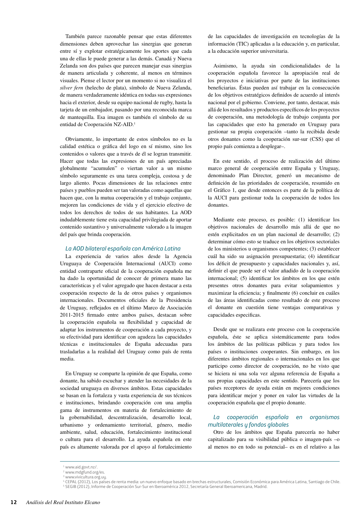También parece razonable pensar que estas diferentes dimensiones deben aprovechar las sinergias que generan entre sí y explotar estratégicamente los aportes que cada una de ellas le puede generar a las demás. Canadá y Nueva Zelanda son dos países que parecen manejar esas sinergias de manera articulada y coherente, al menos en términos visuales. Piense el lector por un momento si no visualiza el *silver fern* (helecho de plata), símbolo de Nueva Zelanda, de manera verdaderamente idéntica en todas sus expresiones hacia el exterior, desde su equipo nacional de rugby, hasta la tarjeta de un embajador, pasando por una reconocida marca de mantequilla. Esa imagen es también el símbolo de su entidad de Cooperación NZ-AID.1

Obviamente, lo importante de estos símbolos no es la calidad estética o gráfica del logo en sí mismo, sino los contenidos o valores que a través de él se logran transmitir. Hacer que todas las expresiones de un país apreciadas globalmente "acumulen" o viertan valor a un mismo símbolo seguramente es una tarea compleja, costosa y de largo aliento. Pocas dimensiones de las relaciones entre países y pueblos pueden ser tan valoradas como aquellas que hacen que, con la mutua cooperación y el trabajo conjunto, mejoren las condiciones de vida y el ejercicio efectivo de todos los derechos de todos de sus habitantes. La AOD indudablemente tiene esta capacidad privilegiada de aportar contenido sustantivo y universalmente valorado a la imagen del país que brinda cooperación.

#### *La AOD bilateral española con América Latina*

La experiencia de varios años desde la Agencia Uruguaya de Cooperación Internacional (AUCI) como entidad contraparte oficial de la cooperación española me ha dado la oportunidad de conocer de primera mano las características y el valor agregado que hacen destacar a esta cooperación respecto de la de otros países y organismos internacionales. Documentos oficiales de la Presidencia de Uruguay, reflejados en el último Marco de Asociación 2011-2015 firmado entre ambos países, destacan sobre la cooperación española su flexibilidad y capacidad de adaptar los instrumentos de cooperación a cada proyecto, y su efectividad para identificar con agudeza las capacidades técnicas e institucionales de España adecuadas para trasladarlas a la realidad del Uruguay como país de renta media.

En Uruguay se comparte la opinión de que España, como donante, ha sabido escuchar y atender las necesidades de la sociedad uruguaya en diversos ámbitos. Estas capacidades se basan en la fortaleza y vasta experiencia de sus técnicos e instituciones, brindando cooperación con una amplia gama de instrumentos en materia de fortalecimiento de la gobernabilidad, descentralización, desarrollo local, urbanismo y ordenamiento territorial, género, medio ambiente, salud, educación, fortalecimiento institucional o cultura para el desarrollo. La ayuda española en este país es altamente valorada por el apoyo al fortalecimiento

de las capacidades de investigación en tecnologías de la información (TIC) aplicadas a la educación y, en particular, a la educación superior universitaria.

Asimismo, la ayuda sin condicionalidades de la cooperación española favorece la apropiación real de los proyectos e iniciativas por parte de las instituciones beneficiarias. Éstas pueden así trabajar en la consecución de los objetivos estratégicos definidos de acuerdo al interés nacional por el gobierno. Conviene, por tanto, destacar, más allá de los resultados y productos específicos de los proyectos de cooperación, una metodología de trabajo conjunta por las capacidades que esto ha generado en Uruguay para gestionar su propia cooperación –tanto la recibida desde otros donantes como la cooperación sur-sur (CSS) que el propio país comienza a desplegar–.

En este sentido, el proceso de realización del último marco general de cooperación entre España y Uruguay, denominado Plan Director, generó un mecanismo de definición de las prioridades de cooperación, resumido en el Gráfico 1, que desde entonces es parte de la política de la AUCI para gestionar toda la cooperación de todos los donantes.

Mediante este proceso, es posible: (1) identificar los objetivos nacionales de desarrollo más allá de que no estén explicitados en un plan nacional de desarrollo; (2) determinar cómo esto se traduce en los objetivos sectoriales de los ministerios u organismos competentes; (3) establecer cuál ha sido su asignación presupuestaria; (4) identificar los déficit de presupuesto y capacidades nacionales y, así, definir el que puede ser el valor añadido de la cooperación internacional; (5) identificar los ámbitos en los que estén presentes otros donantes para evitar solapamientos y maximizar la eficiencia; y finalmente (6) concluir en cuáles de las áreas identificadas como resultado de este proceso el donante en cuestión tiene ventajas comparativas y capacidades especificas.

Desde que se realizara este proceso con la cooperación española, éste se aplica sistemáticamente para todos los ámbitos de las políticas públicas y para todos los países o instituciones cooperantes. Sin embargo, en los diferentes ámbitos regionales o internacionales en los que participo como director de cooperación, no he visto que se hiciera ni una sola vez alguna referencia de España a sus propias capacidades en este sentido. Parecería que los países receptores de ayuda están en mejores condiciones para identificar mejor y poner en valor las virtudes de la cooperación española que el propio donante.

#### *La cooperación española en organismos multilaterales y fondos globales*

Otro de los ámbitos que España parecería no haber capitalizado para su visibilidad pública o imagen-país –o al menos no en todo su potencial– es en el relativo a las

3 www.vivicultura.org.uy.

<sup>1</sup> www.aid.govt.nz/.

<sup>2</sup> www.mdgfund.org/es.

<sup>4</sup> CEPAL (2012), Los países de renta media: un nuevo enfoque basado en brechas estructurales, Comisión Económica para América Latina, Santiago de Chile. 5 SEGIB (2012), Informe de Cooperación Sur-Sur en Iberoamérica 2012, Secretaría General Iberoamericana, Madrid.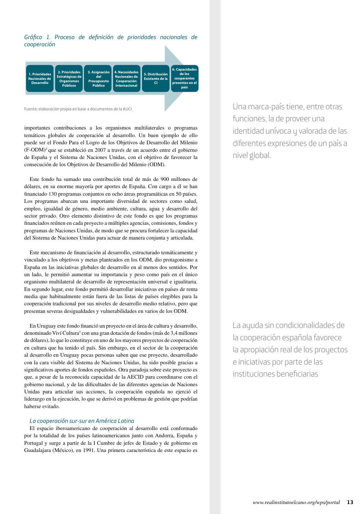*Gráfico 1. Proceso de definición de prioridades nacionales de cooperación*



Fuente: elaboración propia en base a documentos de la AUCI.

importantes contribuciones a los organismos multilaterales o programas temáticos globales de cooperación al desarrollo. Un buen ejemplo de ello puede ser el Fondo Para el Logro de los Objetivos de Desarrollo del Milenio (F-ODM)2 que se estableció en 2007 a través de un acuerdo entre el gobierno de España y el Sistema de Naciones Unidas, con el objetivo de favorecer la consecución de los Objetivos de Desarrollo del Milenio (ODM).

Este fondo ha sumado una contribución total de más de 900 millones de dólares, en su enorme mayoría por aportes de España. Con cargo a él se han financiado 130 programas conjuntos en ocho áreas programáticas en 50 países. Los programas abarcan una importante diversidad de sectores como salud, empleo, igualdad de género, medio ambiente, cultura, agua y desarrollo del sector privado. Otro elemento distintivo de este fondo es que los programas financiados reúnen en cada proyecto a múltiples agencias, comisiones, fondos y programas de Naciones Unidas, de modo que se procura fortalecer la capacidad del Sistema de Naciones Unidas para actuar de manera conjunta y articulada.

Este mecanismo de financiación al desarrollo, estructurado temáticamente y vinculado a los objetivos y metas planteados en los ODM, dio protagonismo a España en las iniciativas globales de desarrollo en al menos dos sentidos. Por un lado, le permitió aumentar su importancia y peso como país en el único organismo multilateral de desarrollo de representación universal e igualitaria. En segundo lugar, este fondo permitió desarrollar iniciativas en países de renta media que habitualmente están fuera de las listas de países elegibles para la cooperación tradicional por sus niveles de desarrollo medio relativo, pero que presentan severas desigualdades y vulnerabilidades en varios de los ODM.

En Uruguay este fondo financió un proyecto en el área de cultura y desarrollo, denominado Viví Cultura<sup>3</sup> con una gran dotación de fondos (más de 3,4 millones de dólares), lo que lo constituye en uno de los mayores proyectos de cooperación en cultura que ha tenido el país. Sin embargo, en el sector de la cooperación al desarrollo en Uruguay pocas personas saben que ese proyecto, desarrollado con la cara visible del Sistema de Naciones Unidas, ha sido posible gracias a significativos aportes de fondos españoles. Otra paradoja sobre este proyecto es que, a pesar de la reconocida capacidad de la AECID para coordinarse con el gobierno nacional, y de las dificultades de las diferentes agencias de Naciones Unidas para articular sus acciones, la cooperación española no ejerció el liderazgo en la ejecución, lo que se derivó en problemas de gestión que podrían haberse evitado.

#### *La cooperación sur-sur en América Latina*

El espacio iberoamericano de cooperación al desarrollo está conformado por la totalidad de los países latinoamericanos junto con Andorra, España y Portugal y surge a partir de la I Cumbre de jefes de Estado y de gobierno en Guadalajara (México), en 1991. Una primera característica de este espacio es

Una marca-país tiene, entre otras funciones, la de proveer una identidad unívoca y valorada de las diferentes expresiones de un país a nivel global.

La ayuda sin condicionalidades de la cooperación española favorece la apropiación real de los proyectos e iniciativas por parte de las instituciones beneficiarias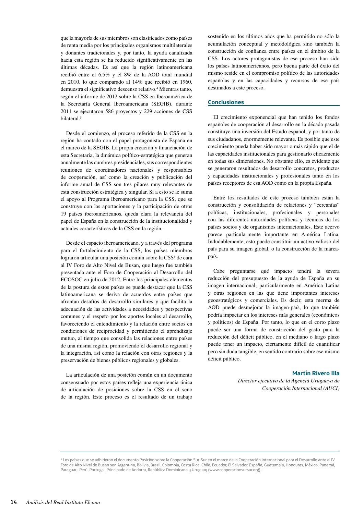que la mayoría de sus miembros son clasificados como países de renta media por los principales organismos multilaterales y donantes tradicionales y, por tanto, la ayuda canalizada hacia esta región se ha reducido significativamente en las últimas décadas. Es así que la región latinoamericana recibió entre el 6,5% y el 8% de la AOD total mundial en 2010, lo que comparado al 14% que recibió en 1960, demuestra el significativo descenso relativo.4 Mientras tanto, según el informe de 2012 sobre la CSS en Iberoamérica de la Secretaría General Iberoamericana (SEGIB), durante 2011 se ejecutaron 586 proyectos y 229 acciones de CSS bilateral.<sup>5</sup>

Desde el comienzo, el proceso referido de la CSS en la región ha contado con el papel protagonista de España en el marco de la SEGIB. La propia creación y financiación de esta Secretaría, la dinámica político-estratégica que generan anualmente las cumbres presidenciales, sus correspondientes reuniones de coordinadores nacionales y responsables de cooperación, así como la creación y publicación del informe anual de CSS son tres pilares muy relevantes de esta construcción estratégica y singular. Si a esto se le suma el apoyo al Programa Iberoamericano para la CSS, que se construye con las aportaciones y la participación de otros 19 países iberoamericanos, queda clara la relevancia del papel de España en la construcción de la institucionalidad y actuales características de la CSS en la región.

Desde el espacio iberoamericano, y a través del programa para el fortalecimiento de la CSS, los países miembros lograron articular una posición común sobre la CSS<sup>6</sup> de cara al IV Foro de Alto Nivel de Busan, que luego fue también presentada ante el Foro de Cooperación al Desarrollo del ECOSOC en julio de 2012. Entre los principales elementos de la postura de estos países se puede destacar que la CSS latinoamericana se deriva de acuerdos entre países que afrontan desafíos de desarrollo similares y que facilita la adecuación de las actividades a necesidades y perspectivas comunes y el respeto por los aportes locales al desarrollo, favoreciendo el entendimiento y la relación entre socios en condiciones de reciprocidad y permitiendo el aprendizaje mutuo, al tiempo que consolida las relaciones entre países de una misma región, promoviendo el desarrollo regional y la integración, así como la relación con otras regiones y la preservación de bienes públicos regionales y globales.

La articulación de una posición común en un documento consensuado por estos países refleja una experiencia única de articulación de posiciones sobre la CSS en el seno de la región. Este proceso es el resultado de un trabajo

sostenido en los últimos años que ha permitido no sólo la acumulación conceptual y metodológica sino también la construcción de confianza entre países en el ámbito de la CSS. Los actores protagonistas de ese proceso han sido los países latinoamericanos, pero buena parte del éxito del mismo reside en el compromiso político de las autoridades españolas y en las capacidades y recursos de ese país destinados a este proceso.

#### **Conclusiones**

El crecimiento exponencial que han tenido los fondos españoles de cooperación al desarrollo en la década pasada constituye una inversión del Estado español, y por tanto de sus ciudadanos, enormemente relevante. Es posible que este crecimiento pueda haber sido mayor o más rápido que el de las capacidades institucionales para gestionarlo eficazmente en todas sus dimensiones. No obstante ello, es evidente que se generaron resultados de desarrollo concretos, productos y capacidades institucionales y profesionales tanto en los países receptores de esa AOD como en la propia España.

Entre los resultados de este proceso también están la construcción y consolidación de relaciones y "cercanías" políticas, institucionales, profesionales y personales con las diferentes autoridades políticas y técnicas de los países socios y de organismos internacionales. Este acervo parece particularmente importante en América Latina. Indudablemente, esto puede constituir un activo valioso del país para su imagen global, o la construcción de la marcapaís.

Cabe preguntarse qué impacto tendrá la severa reducción del presupuesto de la ayuda de España en su imagen internacional, particularmente en América Latina y otras regiones en las que tiene importantes intereses geoestratégicos y comerciales. Es decir, esta merma de AOD puede desmejorar la imagen-país, lo que también podría impactar en los intereses más generales (económicos y políticos) de España. Por tanto, lo que en el corto plazo puede ser una forma de constricción del gasto para la reducción del déficit público, en el mediano o largo plazo puede tener un impacto, ciertamente difícil de cuantificar pero sin duda tangible, en sentido contrario sobre ese mismo déficit público.

#### **Martín Rivero Illa**

*Director ejecutivo de la Agencia Uruguaya de Cooperación Internacional (AUCI)*

<sup>6</sup> Los países que se adhirieron el documento Posición sobre la Cooperación Sur-Sur en el marco de la Cooperación Internacional para el Desarrollo ante el IV Foro de Alto Nivel de Busan son Argentina, Bolivia, Brasil, Colombia, Costa Rica, Chile, Ecuador, El Salvador, España, Guatemala, Honduras, México, Panamá, Paraguay, Perú, Portugal, Principado de Andorra, República Dominicana y Uruguay (www.cooperacionsursur.org).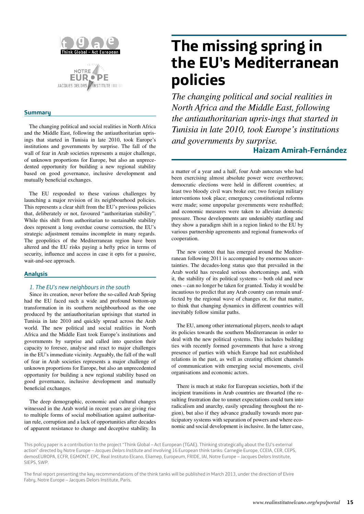

#### **Summary**

The changing political and social realities in North Africa and the Middle East, following the antiauthoritarian uprisings that started in Tunisia in late 2010, took Europe's institutions and governments by surprise. The fall of the wall of fear in Arab societies represents a major challenge, of unknown proportions for Europe, but also an unprecedented opportunity for building a new regional stability based on good governance, inclusive development and mutually beneficial exchanges.

The EU responded to these various challenges by launching a major revision of its neighbourhood policies. This represents a clear shift from the EU's previous policies that, deliberately or not, favoured "authoritarian stability". While this shift from authoritarian to sustainable stability does represent a long overdue course correction, the EU's strategic adjustment remains incomplete in many regards. The geopolitics of the Mediterranean region have been altered and the EU risks paying a hefty price in terms of security, influence and access in case it opts for a passive, wait-and-see approach.

#### **Analysis**

#### *1. The EU's new neighbours in the south*

Since its creation, never before the so-called Arab Spring had the EU faced such a wide and profound bottom-up transformation in its southern neighbourhood as the one produced by the antiauthoritarian uprisings that started in Tunisia in late 2010 and quickly spread across the Arab world. The new political and social realities in North Africa and the Middle East took Europe's institutions and governments by surprise and called into question their capacity to foresee, analyse and react to major challenges in the EU's immediate vicinity. Arguably, the fall of the wall of fear in Arab societies represents a major challenge of unknown proportions for Europe, but also an unprecedented opportunity for building a new regional stability based on good governance, inclusive development and mutually beneficial exchanges.

The deep demographic, economic and cultural changes witnessed in the Arab world in recent years are giving rise to multiple forms of social mobilisation against authoritarian rule, corruption and a lack of opportunities after decades of apparent resistance to change and deceptive stability. In

## **The missing spring in the EU's Mediterranean policies**

*The changing political and social realities in North Africa and the Middle East, following the antiauthoritarian upris-ings that started in Tunisia in late 2010, took Europe's institutions and governments by surprise.*

#### **Haizam Amirah-Fernández**

a matter of a year and a half, four Arab autocrats who had been exercising almost absolute power were overthrown; democratic elections were held in different countries; at least two bloody civil wars broke out; two foreign military interventions took place; emergency constitutional reforms were made; some unpopular governments were reshuffled; and economic measures were taken to alleviate domestic pressure. Those developments are undeniably startling and they show a paradigm shift in a region linked to the EU by various partnership agreements and regional frameworks of cooperation.

The new context that has emerged around the Mediterranean following 2011 is accompanied by enormous uncertainties. The decades-long status quo that prevailed in the Arab world has revealed serious shortcomings and, with it, the stability of its political systems – both old and new ones – can no longer be taken for granted. Today it would be incautious to predict that any Arab country can remain unaffected by the regional wave of changes or, for that matter, to think that changing dynamics in different countries will inevitably follow similar paths.

The EU, among other international players, needs to adapt its policies towards the southern Mediterranean in order to deal with the new political systems. This includes building ties with recently formed governments that have a strong presence of parties with which Europe had not established relations in the past, as well as creating efficient channels of communication with emerging social movements, civil organisations and economic actors.

There is much at stake for European societies, both if the incipient transitions in Arab countries are thwarted (the resulting frustration due to unmet expectations could turn into radicalism and anarchy, easily spreading throughout the region), but also if they advance gradually towards more participatory systems with separation of powers and where economic and social development is inclusive. In the latter case,

This policy paper is a contribution to the project "Think Global – Act European (TGAE). Thinking strategically about the EU's external action" directed by Notre Europe – *Jacques Delors Institute* and involving 16 European think tanks: Carnegie Europe, CCEIA, CER, CEPS, demosEUROPA, ECFR, EGMONT, EPC, Real Instituto Elcano, Eliamep, Europeum, FRIDE, IAI, Notre Europe – Jacques Delors Institute, SIEPS, SWP.

The final report presenting the key recommendations of the think tanks will be published in March 2013, under the direction of Elvire Fabry, Notre Europe – Jacques Delors Institute, Paris.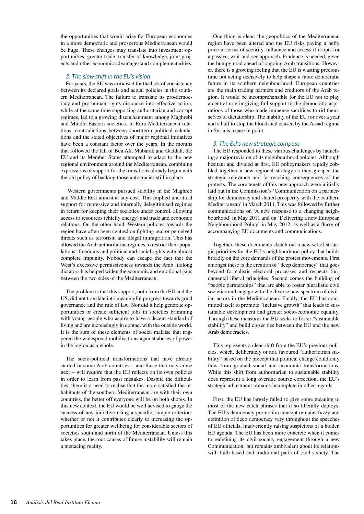the opportunities that would arise for European economies in a more democratic and prosperous Mediterranean would be huge. These changes may translate into investment opportunities, greater trade, transfer of knowledge, joint projects and other economic advantages and complementarities.

#### *2. The slow shift in the EU's vision*

For years, the EU was criticised for the lack of consistency between its declared goals and actual policies in the southern Mediterranean. The failure to translate its pro-democracy and pro-human rights discourse into effective action, while at the same time supporting authoritarian and corrupt regimes, led to a growing disenchantment among Maghrebi and Middle Eastern societies. In Euro-Mediterranean relations, contradictions between short-term political calculations and the stated objectives of major regional initiatives have been a constant factor over the years. In the months that followed the fall of Ben Ali, Mubarak and Gaddafi, the EU and its Member States attempted to adapt to the new regional environment around the Mediterranean, combining expressions of support for the transitions already begun with the old policy of backing those autocracies still in place.

 Western governments pursued stability in the Maghreb and Middle East almost at any cost. This implied uncritical support for repressive and internally delegitimised regimes in return for keeping their societies under control, allowing access to resources (chiefly energy) and trade and economic relations. On the other hand, Western policies towards the region have often been centred on fighting real or perceived threats such as terrorism and illegal immigration. This has allowed the Arab authoritarian regimes to restrict their populations' freedoms and political and social rights with almost complete impunity. Nobody can escape the fact that the West's excessive permissiveness towards the Arab lifelong dictators has helped widen the economic and emotional gaps between the two sides of the Mediterranean.

The problem is that this support, both from the EU and the US, did not translate into meaningful progress towards good governance and the rule of law. Nor did it help generate opportunities or create sufficient jobs in societies brimming with young people who aspire to have a decent standard of living and are increasingly in contact with the outside world. It is the sum of these elements of social malaise that triggered the widespread mobilisations against abuses of power in the region as a whole.

The socio-political transformations that have already started in some Arab countries – and those that may come next – will require that the EU reflects on its own policies in order to learn from past mistakes. Despite the difficulties, there is a need to realise that the more satisfied the inhabitants of the southern Mediterranean are with their own countries, the better off everyone will be on both shores. In this new context, the EU would be well advised to gauge the success of any initiative using a specific, simple criterion: whether or not it contributes clearly to increasing the opportunities for greater wellbeing for considerable sectors of societies south and north of the Mediterranean. Unless this takes place, the root causes of future instability will remain a menacing reality.

One thing is clear: the geopolitics of the Mediterranean region have been altered and the EU risks paying a hefty price in terms of security, influence and access if it opts for a passive, wait-and-see approach. Prudence is needed, given the bumpy road ahead of ongoing Arab transitions. However, there is a growing feeling that the EU is wasting precious time not acting decisively to help shape a more democratic future in its southern neighbourhood. European countries are the main trading partners and creditors of the Arab region. It would be incomprehensible for the EU not to play a central role in giving full support to the democratic aspirations of those who made immense sacrifices to rid themselves of dictatorship. The inability of the EU for over a year and a half to stop the bloodshed caused by the Assad regime in Syria is a case in point.

#### *3. The EU's new strategic compass*

The EU responded to these various challenges by launching a major revision of its neighbourhood policies. Although hesitant and divided at first, EU policymakers rapidly cobbled together a new regional strategy as they grasped the strategic relevance and far-reaching consequences of the protests. The core tenets of this new approach were initially laid out in the Commission's 'Communication on a partnership for democracy and shared prosperity with the southern Mediterranean' in March 2011. This was followed by further communications on 'A new response to a changing neighbourhood' in May 2011 and on 'Delivering a new European Neighbourhood Policy' in May 2012, as well as a flurry of accompanying EU documents and communications.

Together, these documents sketch out a new set of strategic priorities for the EU's neighbourhood policy that builds broadly on the core demands of the protest movements. First amongst these is the creation of "deep democracy" that goes beyond formalistic electoral processes and respects fundamental liberal principles. Second comes the building of "people partnerships" that are able to foster pluralistic civil societies and engage with the diverse new spectrum of civilian actors in the Mediterranean. Finally, the EU has committed itself to promote "inclusive growth" that leads to sustainable development and greater socio-economic equality. Through these measures the EU seeks to foster "sustainable stability" and build closer ties between the EU and the new Arab democracies.

This represents a clear shift from the EU's previous policies, which, deliberately or not, favoured "authoritarian stability" based on the precept that political change could only flow from gradual social and economic transformations. While this shift from authoritarian to sustainable stability does represent a long overdue course correction, the EU's strategic adjustment remains incomplete in other regards.

First, the EU has largely failed to give some meaning to most of the new catch phrases that it so liberally deploys. The EU's democracy promotion concept remains fuzzy and definition of deep democracy vary throughout the speeches of EU officials, inadvertently raising suspicions of a hidden EU agenda. The EU has been more concrete when it comes to redefining its civil society engagement through a new Communication, but remains ambivalent about its relations with faith-based and traditional parts of civil society. The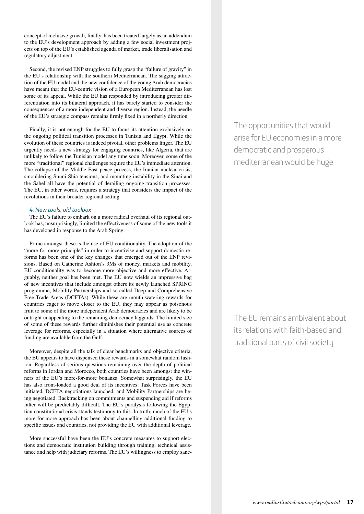concept of inclusive growth, finally, has been treated largely as an addendum to the EU's development approach by adding a few social investment projects on top of the EU's established agenda of market, trade liberalisation and regulatory adjustment.

Second, the revised ENP struggles to fully grasp the "failure of gravity" in the EU's relationship with the southern Mediterranean. The sagging attraction of the EU model and the new confidence of the young Arab democracies have meant that the EU-centric vision of a European Mediterranean has lost some of its appeal. While the EU has responded by introducing greater differentiation into its bilateral approach, it has barely started to consider the consequences of a more independent and diverse region. Instead, the needle of the EU's strategic compass remains firmly fixed in a northerly direction.

Finally, it is not enough for the EU to focus its attention exclusively on the ongoing political transition processes in Tunisia and Egypt. While the evolution of these countries is indeed pivotal, other problems linger. The EU urgently needs a new strategy for engaging countries, like Algeria, that are unlikely to follow the Tunisian model any time soon. Moreover, some of the more "traditional" regional challenges require the EU's immediate attention. The collapse of the Middle East peace process, the Iranian nuclear crisis, smouldering Sunni-Shia tensions, and mounting instability in the Sinai and the Sahel all have the potential of derailing ongoing transition processes. The EU, in other words, requires a strategy that considers the impact of the revolutions in their broader regional setting.

#### *4. New tools, old toolbox*

The EU's failure to embark on a more radical overhaul of its regional outlook has, unsurprisingly, limited the effectiveness of some of the new tools it has developed in response to the Arab Spring.

Prime amongst these is the use of EU conditionality. The adoption of the "more-for-more principle" in order to incentivise and support domestic reforms has been one of the key changes that emerged out of the ENP revisions. Based on Catherine Ashton's 3Ms of money, markets and mobility, EU conditionality was to become more objective and more effective. Arguably, neither goal has been met. The EU now wields an impressive bag of new incentives that include amongst others its newly launched SPRING programme, Mobility Partnerships and so-called Deep and Comprehensive Free Trade Areas (DCFTAs). While these are mouth-watering rewards for countries eager to move closer to the EU, they may appear as poisonous fruit to some of the more independent Arab democracies and are likely to be outright unappealing to the remaining democracy laggards. The limited size of some of these rewards further diminishes their potential use as concrete leverage for reforms, especially in a situation where alternative sources of funding are available from the Gulf.

Moreover, despite all the talk of clear benchmarks and objective criteria, the EU appears to have dispensed these rewards in a somewhat random fashion. Regardless of serious questions remaining over the depth of political reforms in Jordan and Morocco, both countries have been amongst the winners of the EU's more-for-more bonanza. Somewhat surprisingly, the EU has also front-loaded a good deal of its incentives: Task Forces have been initiated, DCFTA negotiations launched, and Mobility Partnerships are being negotiated. Backtracking on commitments and suspending aid if reforms falter will be predictably difficult. The EU's paralysis following the Egyptian constitutional crisis stands testimony to this. In truth, much of the EU's more-for-more approach has been about channelling additional funding to specific issues and countries, not providing the EU with additional leverage.

More successful have been the EU's concrete measures to support elections and democratic institution building through training, technical assistance and help with judiciary reforms. The EU's willingness to employ sancThe opportunities that would arise for EU economies in a more democratic and prosperous mediterranean would be huge

The EU remains ambivalent about its relations with faith-based and traditional parts of civil society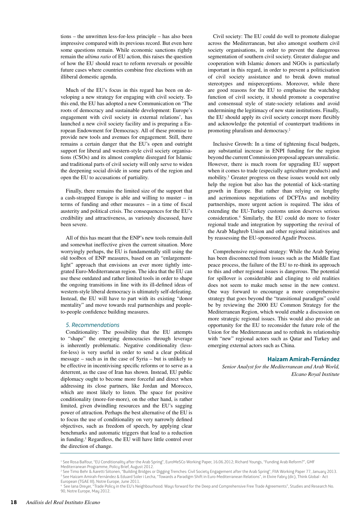tions – the unwritten less-for-less principle – has also been impressive compared with its previous record. But even here some questions remain. While economic sanctions rightly remain the *ultima ratio* of EU action, this raises the question of how the EU should react to reform reversals or possible future cases where countries combine free elections with an illiberal domestic agenda.

Much of the EU's focus in this regard has been on developing a new strategy for engaging with civil society. To this end, the EU has adopted a new Communication on 'The roots of democracy and sustainable development: Europe's engagement with civil society in external relations', has launched a new civil society facility and is preparing a European Endowment for Democracy. All of these promise to provide new tools and avenues for engagement. Still, there remains a certain danger that the EU's open and outright support for liberal and western-style civil society organisations (CSOs) and its almost complete disregard for Islamic and traditional parts of civil society will only serve to widen the deepening social divide in some parts of the region and open the EU to accusations of partiality.

Finally, there remains the limited size of the support that a cash-strapped Europe is able and willing to muster – in terms of funding and other measures – in a time of fiscal austerity and political crisis. The consequences for the EU's credibility and attractiveness, as variously discussed, have been severe.

All of this has meant that the ENP's new tools remain dull and somewhat ineffective given the current situation. More worryingly perhaps, the EU is fundamentally still using the old toolbox of ENP measures, based on an "enlargementlight" approach that envisions an ever more tightly integrated Euro-Mediterranean region. The idea that the EU can use these outdated and rather limited tools in order to shape the ongoing transitions in line with its ill-defined ideas of western-style liberal democracy is ultimately self-defeating. Instead, the EU will have to part with its existing "donor mentality" and move towards real partnerships and peopleto-people confidence building measures.

#### *5. Recommendations*

Conditionality: The possibility that the EU attempts to "shape" the emerging democracies through leverage is inherently problematic. Negative conditionality (lessfor-less) is very useful in order to send a clear political message – such as in the case of Syria – but is unlikely to be effective in incentivising specific reforms or to serve as a deterrent, as the case of Iran has shown. Instead, EU public diplomacy ought to become more forceful and direct when addressing its close partners, like Jordan and Morocco, which are most likely to listen. The space for positive conditionality (more-for-more), on the other hand, is rather limited, given dwindling resources and the EU's sagging power of attraction. Perhaps the best alternative of the EU is to focus the use of conditionality on very narrowly defined objectives, such as freedom of speech, by applying clear benchmarks and automatic triggers that lead to a reduction in funding.1 Regardless, the EU will have little control over the direction of change.

Civil society: The EU could do well to promote dialogue across the Mediterranean, but also amongst southern civil society organisations, in order to prevent the dangerous segmentation of southern civil society. Greater dialogue and cooperation with Islamic donors and NGOs is particularly important in this regard, in order to prevent a politicisation of civil society assistance and to break down mutual stereotypes and misperceptions. Moreover, while there are good reasons for the EU to emphasise the watchdog function of civil society, it should promote a cooperative and consensual style of state-society relations and avoid undermining the legitimacy of new state institutions. Finally, the EU should apply its civil society concept more flexibly and acknowledge the potential of counterpart traditions in promoting pluralism and democracy.2

Inclusive Growth: In a time of tightening fiscal budgets, any substantial increase in ENPI funding for the region beyond the current Commission proposal appears unrealistic. However, there is much room for upgrading EU support when it comes to trade (especially agriculture products) and mobility.3 Greater progress on these issues would not only help the region but also has the potential of kick-starting growth in Europe. But rather than relying on lengthy and acrimonious negotiations of DCFTAs and mobility partnerships, more urgent action is required. The idea of extending the EU-Turkey customs union deserves serious consideration.4 Similarly, the EU could do more to foster regional trade and integration by supporting the revival of the Arab Maghreb Union and other regional initiatives and by reassessing the EU-sponsored Agadir Process.

Comprehensive regional strategy: While the Arab Spring has been disconnected from issues such as the Middle East peace process, the failure of the EU to re-think its approach to this and other regional issues is dangerous. The potential for spillover is considerable and clinging to old realities does not seem to make much sense in the new context. One way forward to encourage a more comprehensive strategy that goes beyond the "transitional paradigm" could be by reviewing the 2000 EU Common Strategy for the Mediterranean Region, which would enable a discussion on more strategic regional issues. This would also provide an opportunity for the EU to reconsider the future role of the Union for the Mediterranean and to rethink its relationship with "new" regional actors such as Qatar and Turkey and emerging external actors such as China.

#### **Haizam Amirah-Fernández**

*Senior Analyst for the Mediterranean and Arab World, Elcano Royal Institute*

<sup>1</sup> See Rosa Balfour, "EU Conditionality after the Arab Spring", EuroMeSCo Working Paper, 16.06.2012; Richard Youngs, "Funding Arab Reform?", GMF Mediterranean Programme, Policy Brief, August 2012.

<sup>2</sup> See Timo Behr & Aaretti Siitonen, "Building Bridges or Digging Trenches: Civil Society Engagement after the Arab Spring", FIIA Working Paper 77, January 2013. <sup>3</sup> See Haizam Amirah-Fernández & Eduard Soler i Lecha, "Towards a Paradigm Shift in Euro-Mediterranean Relations", in Elvire Fabry (dir.), Think Global - Act European (TGAE III), Notre Europe, June 2011.

<sup>4</sup> See Iana Dreyer, "Trade Policy in the EU's Neighbourhood: Ways forward for the Deep and Comprehensive Free Trade Agreements", Studies and Research No. 90, Notre Europe, May 2012.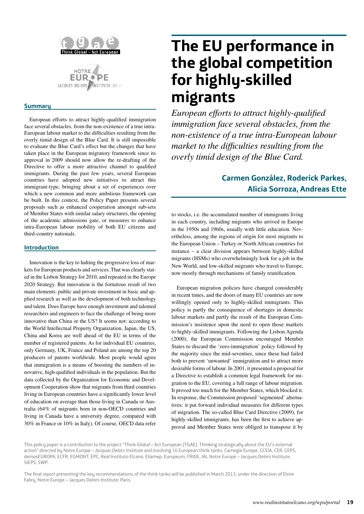

#### **Summary**

European efforts to attract highly-qualified immigration face several obstacles, from the non-existence of a true intra-European labour market to the difficulties resulting from the overly timid design of the Blue Card. It is still impossible to evaluate the Blue Card's effect but the changes that have taken place in the European migratory framework since its approval in 2009 should now allow the re-drafting of the Directive to offer a more attractive channel to qualified immigrants. During the past few years, several European countries have adopted new initiatives to attract this immigrant-type, bringing about a set of experiences over which a new common and more ambitious framework can be built. In this context, the Policy Paper presents several proposals such as enhanced cooperation amongst sub-sets of Member States with similar salary structures, the opening of the academic admissions gate, or measures to enhance intra-European labour mobility of both EU citizens and third-country nationals.

#### **Introduction**

Innovation is the key to halting the progressive loss of markets for European products and services. That was clearly stated in the Lisbon Strategy for 2010, and repeated in the Europe 2020 Strategy. But innovation is the fortuitous result of two main elements: public and private investment in basic and applied research as well as the development of both technology and talent. Does Europe have enough investment and talented researchers and engineers to face the challenge of being more innovative than China or the US? It seems not: according to the World Intellectual Property Organization, Japan, the US, China and Korea are well ahead of the EU in terms of the number of registered patents. As for individual EU countries, only Germany, UK, France and Poland are among the top 20 producers of patents worldwide. Most people would agree that immigration is a means of boosting the numbers of innovative, high-qualified individuals in the population. But the data collected by the Organization for Economic and Development Cooperation show that migrants from third countries living in European countries have a significantly lower level of education on average than those living in Canada or Australia (64% of migrants born in non-OECD countries and living in Canada have a university degree, compared with 30% in France or 10% in Italy). Of course, OECD data refer

## **The EU performance in the global competition for highly-skilled migrants**

*European efforts to attract highly-qualified immigration face several obstacles, from the non-existence of a true intra-European labour market to the difficulties resulting from the overly timid design of the Blue Card.* 

### **Carmen González, Roderick Parkes, Alicia Sorroza, Andreas Ette**

to stocks, i.e. the accumulated number of immigrants living in each country, including migrants who arrived in Europe in the 1950s and 1960s, usually with little education. Nevertheless, among the regions of origin for most migrants to the European Union – Turkey or North African countries for instance – a clear division appears between highly-skilled migrants (HSMs) who overwhelmingly look for a job in the New World, and low-skilled migrants who travel to Europe, now mostly through mechanisms of family reunification.

European migration policies have changed considerably in recent times, and the doors of many EU countries are now willingly opened only to highly-skilled immigrants. This policy is partly the consequence of shortages in domestic labour markets and partly the result of the European Commission's insistence upon the need to open those markets to highly-skilled immigrants. Following the Lisbon Agenda (2000), the European Commission encouraged Member States to discard the 'zero-immigration' policy followed by the majority since the mid-seventies, since these had failed both to prevent 'unwanted' immigration and to attract more desirable forms of labour. In 2001, it presented a proposal for a Directive to establish a common legal framework for migration to the EU, covering a full range of labour migration. It proved too much for the Member States, which blocked it. In response, the Commission proposed 'segmented' alternatives: it put forward individual measures for different types of migration. The so-called Blue Card Directive (2009), for highly-skilled immigrants, has been the first to achieve approval and Member States were obliged to transpose it by

This policy paper is a contribution to the project "Think Global – Act European (TGAE). Thinking strategically about the EU's external action" directed by Notre Europe – *Jacques Delors Institute* and involving 16 European think tanks: Carnegie Europe, CCEIA, CER, CEPS, demosEUROPA, ECFR, EGMONT, EPC, Real Instituto Elcano, Eliamep, Europeum, FRIDE, IAI, Notre Europe – Jacques Delors Institute, SIEPS, SWP.

The final report presenting the key recommendations of the think tanks will be published in March 2013, under the direction of Elvire Fabry, Notre Europe – Jacques Delors Institute, Paris.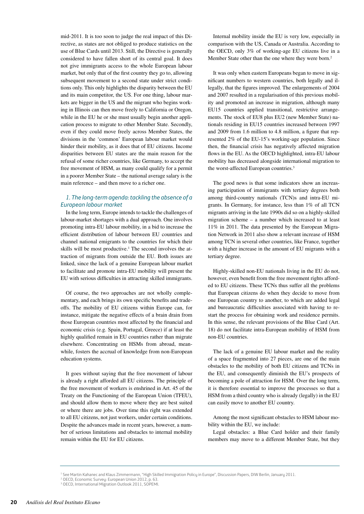mid-2011. It is too soon to judge the real impact of this Directive, as states are not obliged to produce statistics on the use of Blue Cards until 2013. Still, the Directive is generally considered to have fallen short of its central goal. It does not give immigrants access to the whole European labour market, but only that of the first country they go to, allowing subsequent movement to a second state under strict conditions only. This only highlights the disparity between the EU and its main competitor, the US. For one thing, labour markets are bigger in the US and the migrant who begins working in Illinois can then move freely to California or Oregon, while in the EU he or she must usually begin another application process to migrate to other Member State. Secondly, even if they could move freely across Member States, the divisions in the 'common' European labour market would hinder their mobility, as it does that of EU citizens. Income disparities between EU states are the main reason for the refusal of some richer countries, like Germany, to accept the free movement of HSM, as many could qualify for a permit in a poorer Member State – the national average salary is the main reference – and then move to a richer one.

#### *1. The long-term agenda: tackling the absence of a European labour market*

In the long term, Europe intends to tackle the challenges of labour-market shortages with a dual approach. One involves promoting intra-EU labour mobility, in a bid to increase the efficient distribution of labour between EU countries and channel national emigrants to the countries for which their skills will be most productive.<sup>1</sup> The second involves the attraction of migrants from outside the EU. Both issues are linked, since the lack of a genuine European labour market to facilitate and promote intra-EU mobility will present the EU with serious difficulties in attracting skilled immigrants.

Of course, the two approaches are not wholly complementary, and each brings its own specific benefits and tradeoffs. The mobility of EU citizens within Europe can, for instance, mitigate the negative effects of a brain drain from those European countries most affected by the financial and economic crisis (e.g. Spain, Portugal, Greece) if at least the highly qualified remain in EU countries rather than migrate elsewhere. Concentrating on HSMs from abroad, meanwhile, fosters the accrual of knowledge from non-European education systems.

It goes without saying that the free movement of labour is already a right afforded all EU citizens. The principle of the free movement of workers is enshrined in Art. 45 of the Treaty on the Functioning of the European Union (TFEU), and should allow them to move where they are best suited or where there are jobs. Over time this right was extended to all EU citizens, not just workers, under certain conditions. Despite the advances made in recent years, however, a number of serious limitations and obstacles to internal mobility remain within the EU for EU citizens.

Internal mobility inside the EU is very low, especially in comparison with the US, Canada or Australia. According to the OECD, only 3% of working-age EU citizens live in a Member State other than the one where they were born.<sup>2</sup>

It was only when eastern Europeans began to move in significant numbers to western countries, both legally and illegally, that the figures improved. The enlargements of 2004 and 2007 resulted in a regularisation of this previous mobility and promoted an increase in migration, although many EU15 countries applied transitional, restrictive arrangements. The stock of EU8 plus EU2 (new Member State) nationals residing in EU15 countries increased between 1997 and 2009 from 1.6 million to 4.8 million, a figure that represented 2% of the EU-15's working-age population. Since then, the financial crisis has negatively affected migration flows in the EU. As the OECD highlighted, intra-EU labour mobility has decreased alongside international migration to the worst-affected European countries.<sup>3</sup>

The good news is that some indicators show an increasing participation of immigrants with tertiary degrees both among third-country nationals (TCN)s and intra-EU migrants. In Germany, for instance, less than 1% of all TCN migrants arriving in the late 1990s did so on a highly-skilled migration scheme – a number which increased to at least 11% in 2011. The data presented by the European Migration Network in 2011 also show a relevant increase of HSM among TCN in several other countries, like France, together with a higher increase in the amount of EU migrants with a tertiary degree.

Highly-skilled non-EU nationals living in the EU do not, however, even benefit from the free movement rights afforded to EU citizens. These TCNs thus suffer all the problems that European citizens do when they decide to move from one European country to another, to which are added legal and bureaucratic difficulties associated with having to restart the process for obtaining work and residence permits. In this sense, the relevant provisions of the Blue Card (Art. 18) do not facilitate intra-European mobility of HSM from non-EU countries.

The lack of a genuine EU labour market and the reality of a space fragmented into 27 pieces, are one of the main obstacles to the mobility of both EU citizens and TCNs in the EU, and consequently diminish the EU's prospects of becoming a pole of attraction for HSM. Over the long term, it is therefore essential to improve the processes so that a HSM from a third country who is already (legally) in the EU can easily move to another EU country.

Among the most significant obstacles to HSM labour mobility within the EU, we include:

Legal obstacles: a Blue Card holder and their family members may move to a different Member State, but they

<sup>1</sup> See Martin Kahanec and Klaus Zimmermann, "High Skilled Immigration Policy in Europe", Discussion Papers, DIW Berlin, January 2011.

<sup>2</sup> OECD, Economic Survey: European Union 2012, p. 63.

<sup>3</sup> OECD, International Migration Outlook 2011, SOPEMI.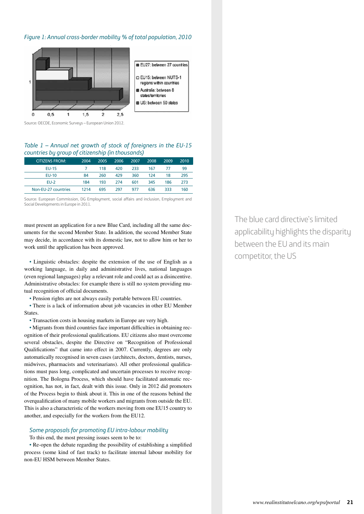#### *Figure 1: Annual cross-border mobility % of total population, 2010*



Source: OECDE, Economic Surveys – European Union 2012.

#### *Table 1 – Annual net growth of stock of foreigners in the EU-15 countries by group of citizenship (in thousands)*

| <b>CITIZENS FROM:</b> | 2004 | 2005 | 2006 | 2007 | 2008 | 2009 | 2010 |
|-----------------------|------|------|------|------|------|------|------|
| <b>EU-15</b>          |      | 118  | 420  | 233  | 167  | 77   | 99   |
| $EU-10$               | 84   | 260  | 429  | 360  | 124  | 18   | 295  |
| $EU-2$                | 184  | 193  | 274  | 601  | 345  | 186  | 273  |
| Non-EU-27 countries   | 1214 | 695  | 297  | 977  | 636  | 333  | 160  |

Source: European Commission, DG Employment, social affairs and inclusion, Employment and Social Developments in Europe in 2011.

must present an application for a new Blue Card, including all the same documents for the second Member State. In addition, the second Member State may decide, in accordance with its domestic law, not to allow him or her to work until the application has been approved.

• Linguistic obstacles: despite the extension of the use of English as a working language, in daily and administrative lives, national languages (even regional languages) play a relevant role and could act as a disincentive. Administrative obstacles: for example there is still no system providing mutual recognition of official documents.

• Pension rights are not always easily portable between EU countries.

• There is a lack of information about job vacancies in other EU Member States.

• Transaction costs in housing markets in Europe are very high.

• Migrants from third countries face important difficulties in obtaining recognition of their professional qualifications. EU citizens also must overcome several obstacles, despite the Directive on "Recognition of Professional Qualifications" that came into effect in 2007. Currently, degrees are only automatically recognised in seven cases (architects, doctors, dentists, nurses, midwives, pharmacists and veterinarians). All other professional qualifications must pass long, complicated and uncertain processes to receive recognition. The Bologna Process, which should have facilitated automatic recognition, has not, in fact, dealt with this issue. Only in 2012 did promoters of the Process begin to think about it. This in one of the reasons behind the overqualification of many mobile workers and migrants from outside the EU. This is also a characteristic of the workers moving from one EU15 country to another, and especially for the workers from the EU12.

#### *Some proposals for promoting EU intra-labour mobility*

To this end, the most pressing issues seem to be to:

• Re-open the debate regarding the possibility of establishing a simplified process (some kind of fast track) to facilitate internal labour mobility for non-EU HSM between Member States.

The blue card directive's limited applicability highlights the disparity between the EU and its main competitor, the US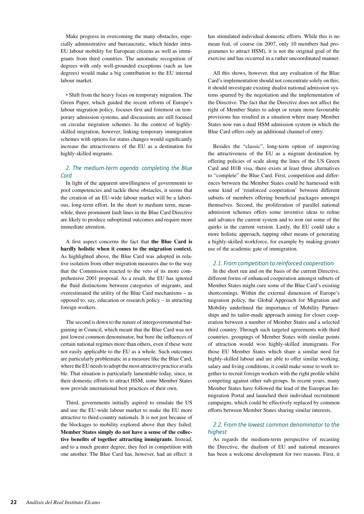Make progress in overcoming the many obstacles, especially administrative and bureaucratic, which hinder intra-EU labour mobility for European citizens as well as immigrants from third countries. The automatic recognition of degrees with only well-grounded exceptions (such as law degrees) would make a big contribution to the EU internal labour market.

• Shift from the heavy focus on temporary migration. The Green Paper, which guided the recent reform of Europe's labour migration policy, focuses first and foremost on temporary admission systems, and discussions are still focused on circular migration schemes. In the context of highlyskilled migration, however, linking temporary immigration schemes with options for status changes would significantly increase the attractiveness of the EU as a destination for highly-skilled migrants.

#### *2. The medium-term agenda: completing the Blue Card*

In light of the apparent unwillingness of governments to pool competencies and tackle these obstacles, it seems that the creation of an EU-wide labour market will be a laborious, long-term effort. In the short to medium term, meanwhile, three prominent fault lines in the Blue Card Directive are likely to produce suboptimal outcomes and require more immediate attention.

A first aspect concerns the fact that **the Blue Card is hardly holistic when it comes to the migration context.** As highlighted above, the Blue Card was adopted in relative isolation from other migration measures due to the way that the Commission reacted to the veto of its more comprehensive 2001 proposal. As a result, the EU has ignored the fluid distinctions between categories of migrants, and overestimated the utility of the Blue Card mechanisms – as opposed to, say, education or research policy – in attracting foreign workers.

The second is down to the nature of intergovernmental bargaining in Council, which meant that the Blue Card was not just lowest common denominator, but bore the influences of certain national regimes more than others, even if these were not easily applicable to the EU as a whole. Such outcomes are particularly problematic in a measure like the Blue Card, where the EU needs to adopt the most attractive practice availa ble. That situation is particularly lamentable today, since, in their domestic efforts to attract HSM, some Member States now provide international best practices of their own.

Third, governments initially aspired to emulate the US and use the EU-wide labour market to make the EU more attractive to third-country nationals. It is not just because of the blockages to mobility explored above that they failed. **Member States simply do not have a sense of the collective benefits of together attracting immigrants**. Instead, and to a much greater degree, they feel in competition with one another. The Blue Card has, however, had an effect: it has stimulated individual domestic efforts. While this is no mean feat, of course (in 2007, only 10 members had programmes to attract HSM), it is not the original goal of the exercise and has occurred in a rather uncoordinated manner.

All this shows, however, that any evaluation of the Blue Card's implementation should not concentrate solely on this; it should investigate existing dualist national admission systems spurred by the negotiation and the implementation of the Directive. The fact that the Directive does not affect the right of Member States to adopt or retain more favourable provisions has resulted in a situation where many Member States now run a dual HSM admission system in which the Blue Card offers only an additional channel of entry.

Besides the "classic", long-term option of improving the attractiveness of the EU as a migrant destination by offering policies of scale along the lines of the US Green Card and H1B visa, there exists at least three alternatives to "complete" the Blue Card. First, competition and differences between the Member States could be harnessed with some kind of 'reinforced cooperation' between different subsets of members offering beneficial packages amongst themselves. Second, the proliferation of parallel national admission schemes offers some inventive ideas to refine and advance the current system and to iron out some of the quirks in the current version. Lastly, the EU could take a more holistic approach, tapping other means of generating a highly-skilled workforce, for example by making greater use of the academic gate of immigration.

#### *2.1. From competition to reinforced cooperation*

In the short run and on the basis of the current Directive, different forms of enhanced cooperation amongst subsets of Member States might cure some of the Blue Card's existing shortcomings. Within the external dimension of Europe's migration policy, the Global Approach for Migration and Mobility underlined the importance of Mobility Partnerships and its tailor-made approach aiming for closer cooperation between a number of Member States and a selected third country. Through such targeted agreements with third countries, groupings of Member States with similar points of attraction would woo highly-skilled immigrants. For those EU Member States which share a similar need for highly-skilled labour and are able to offer similar working, salary and living conditions, it could make sense to work together to recruit foreign workers with the right profile whilst competing against other sub-groups. In recent years, many Member States have followed the lead of the European Immigration Portal and launched their individual recruitment campaigns, which could be effectively replaced by common efforts between Member States sharing similar interests.

#### *2.2. From the lowest common denominator to the highest*

As regards the medium-term perspective of recasting the Directive, the dualism of EU and national measures has been a welcome development for two reasons. First, it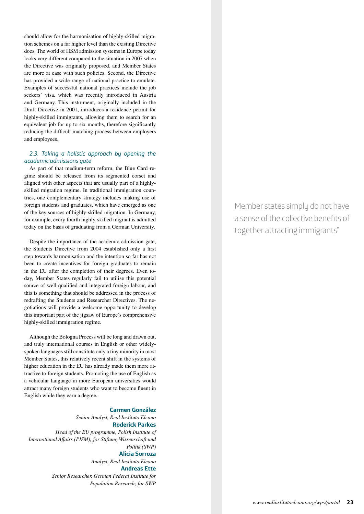should allow for the harmonisation of highly-skilled migration schemes on a far higher level than the existing Directive does. The world of HSM admission systems in Europe today looks very different compared to the situation in 2007 when the Directive was originally proposed, and Member States are more at ease with such policies. Second, the Directive has provided a wide range of national practice to emulate. Examples of successful national practices include the job seekers' visa, which was recently introduced in Austria and Germany. This instrument, originally included in the Draft Directive in 2001, introduces a residence permit for highly-skilled immigrants, allowing them to search for an equivalent job for up to six months, therefore significantly reducing the difficult matching process between employers and employees.

#### *2.3. Taking a holistic approach by opening the academic admissions gate*

As part of that medium-term reform, the Blue Card regime should be released from its segmented corset and aligned with other aspects that are usually part of a highlyskilled migration regime. In traditional immigration countries, one complementary strategy includes making use of foreign students and graduates, which have emerged as one of the key sources of highly-skilled migration. In Germany, for example, every fourth highly-skilled migrant is admitted today on the basis of graduating from a German University.

Despite the importance of the academic admission gate, the Students Directive from 2004 established only a first step towards harmonisation and the intention so far has not been to create incentives for foreign graduates to remain in the EU after the completion of their degrees. Even today, Member States regularly fail to utilise this potential source of well-qualified and integrated foreign labour, and this is something that should be addressed in the process of redrafting the Students and Researcher Directives. The negotiations will provide a welcome opportunity to develop this important part of the jigsaw of Europe's comprehensive highly-skilled immigration regime.

Although the Bologna Process will be long and drawn out, and truly international courses in English or other widelyspoken languages still constitute only a tiny minority in most Member States, this relatively recent shift in the systems of higher education in the EU has already made them more attractive to foreign students. Promoting the use of English as a vehicular language in more European universities would attract many foreign students who want to become fluent in English while they earn a degree.

#### **Carmen González**

*Senior Analyst, Real Instituto Elcano* **Roderick Parkes**  *Head of the EU programme, Polish Institute of International Affairs (PISM); for Stiftung Wissenschaft und Politik (SWP)* **Alicia Sorroza** *Analyst, Real Instituto Elcano* **Andreas Ette** 

*Senior Researcher, German Federal Institute for Population Research; for SWP* Member states simply do not have a sense of the collective benefits of together attracting immigrants"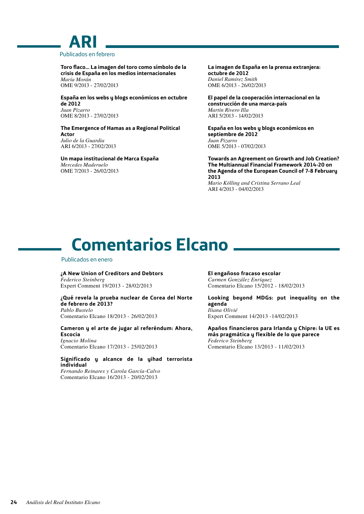### **ARI** Publicados en febrero

**Toro flaco… La imagen del toro como símbolo de la crisis de España en los medios internacionales** *María Morán* OME 9/2013 - 27/02/2013

**España en los webs y blogs económicos en octubre de 2012** *Juan Pizarro* OME 8/2013 - 27/02/2013

**The Emergence of Hamas as a Regional Political Actor** *Julio de la Guardia* ARI 6/2013 - 27/02/2013

**Un mapa institucional de Marca España** *Mercedes Maderuelo* OME 7/2013 - 26/02/2013

**La imagen de España en la prensa extranjera: octubre de 2012** *Daniel Ramírez Smith* OME 6/2013 - 26/02/2013

**El papel de la cooperación internacional en la construcción de una marca-país** *Martín Rivero Illa* ARI 5/2013 - 14/02/2013

**España en los webs y blogs económicos en septiembre de 2012** *Juan Pizarro* OME 5/2013 - 07/02/2013

**Towards an Agreement on Growth and Job Creation? The Multiannual Financial Framework 2014-20 on the Agenda of the European Council of 7-8 February 2013** *Mario Kölling and Cristina Serrano Leal* ARI 4/2013 - 04/02/2013

## **Comentarios Elcano**

#### Publicados en enero

**¿A New Union of Creditors and Debtors** *Federico Steinberg* Expert Comment 19/2013 - 28/02/2013

**¿Qué revela la prueba nuclear de Corea del Norte de febrero de 2013?** *Pablo Bustelo*

Comentario Elcano 18/2013 - 26/02/2013

**Cameron y el arte de jugar al referéndum: Ahora, Escocia** *Ignacio Molina* Comentario Elcano 17/2013 - 25/02/2013

**Significado y alcance de la yihad terrorista individual**

*Fernando Reinares y Carola García-Calvo* Comentario Elcano 16/2013 - 20/02/2013

**El engañoso fracaso escolar** *Carmen González Enríquez* Comentario Elcano 15/2012 - 18/02/2013

**Looking beyond MDGs: put inequality on the agenda** *Iliana Olivié* Expert Comment 14/2013 -14/02/2013

**Apaños financieros para Irlanda y Chipre: la UE es más pragmática y flexible de lo que parece** *Federico Steinberg* Comentario Elcano 13/2013 - 11/02/2013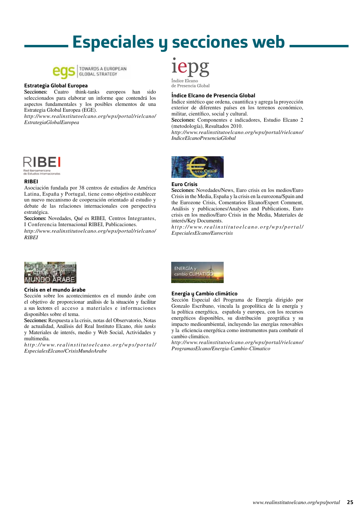## **Especiales y secciones web**



TOWARDS A EUROPEAN **GLOBAL STRATEGY** 

#### **Estrategia Global Europea**

**Secciones:** Cuatro think-tanks europeos han sido seleccionados para elaborar un informe que contendrá los aspectos fundamentales y los posibles elementos de una Estrategia Global Europea (EGE).

*http://www.realinstitutoelcano.org/wps/portal/rielcano/ EstrategiaGlobalEuropea*



#### **RIBEI**

Asociación fundada por 38 centros de estudios de América Latina, España y Portugal, tiene como objetivo establecer un nuevo mecanismo de cooperación orientado al estudio y debate de las relaciones internacionales con perspectiva estratégica.

**Secciones:** Novedades, Qué es RIBEI, Centros Integrantes, I Conferencia Internacional RIBEI, Publicaciones.

*http://www.realinstitutoelcano.org/wps/portal/rielcano/ RIBEI*



#### **Índice Elcano de Presencia Global**

Índice sintético que ordena, cuantifica y agrega la proyección exterior de diferentes países en los terrenos económico, militar, científico, social y cultural.

Secciones: Componentes e indicadores, Estudio Elcano 2 (metodología), Resultados 2010.

*http://www.realinstitutoelcano.org/wps/portal/rielcano/ IndiceElcanoPresenciaGlobal*



#### **Euro Crisis**

**Secciones:** Novedades/News, Euro crisis en los medios/Euro Crisis in the Media, España y la crisis en la eurozona/Spain and the Eurozone Crisis, Comentarios Elcano/Expert Comment, Análisis y publicaciones/Analyses and Publications, Euro crisis en los medios/Euro Crisis in the Media, Materiales de interés/Key Documents.

*http://www.realinstitutoelcano.org/wps/portal/ EspecialesElcano/Eurocrisis*



#### **Crisis en el mundo árabe**

Sección sobre los acontecimientos en el mundo árabe con el objetivo de proporcionar análisis de la situación y facilitar a sus lectores el acceso a materiales e informaciones disponibles sobre el tema.

**Secciones:** Respuesta a la crisis, notas del Observatorio, Notas de actualidad, Análisis del Real Instituto Elcano, *thin tanks* y Materiales de interés, medio y Web Social, Actividades y multimedia.

*http://www.realinstitutoelcano.org/wps/portal/ EspecialesElcano/CrisisMundoArabe*



#### **Energía y Cambio climático**

Sección Especial del Programa de Energía dirigido por Gonzalo Escribano, vincula la geopolítica de la energía y la política energética, española y europea, con los recursos energéticos disponibles, su distribución geográfica y su impacto medioambiental, incluyendo las energías renovables y la eficiencia energética como instrumentos para combatir el cambio climático.

*http://www.realinstitutoelcano.org/wps/portal/rielcano/ ProgramasElcano/Energia-Cambio-Climatico*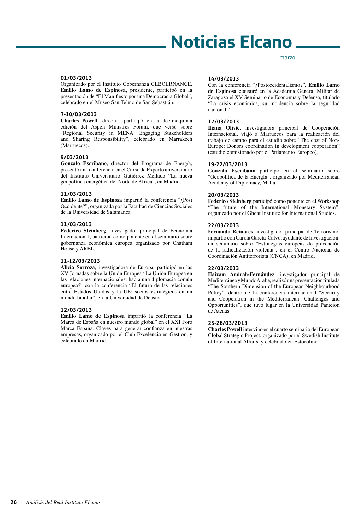## **Noticias Elcano**

#### **01/03/2013**

Organizado por el Instituto Gobernanza GLBOERNANCE, **Emilio Lamo de Espinosa**, presidente, participó en la presentación de "El Manifiesto por una Democracia Global", celebrado en el Museo San Telmo de San Sebastián.

#### **7-10/03/2013**

**Charles Powell**, director, participó en la decimoquinta edición del Aspen Ministres Forum, que versó sobre "Regional Security in MENA: Engaging Stakeholders and Sharing Responsibility", celebrado en Marrakech (Marruecos).

#### **9/03/2013**

**Gonzalo Escribano**, director del Programa de Energía, presentó una conferencia en el Curso de Experto universitario del Instituto Universitario Gutiérrez Mellado "La nueva geopolítica energética del Norte de África", en Madrid.

#### **11/03/2013**

**Emilio Lamo de Espinosa** impartió la conferencia "¿Post Occidente?", organizada por la Facultad de Ciencias Sociales de la Universidad de Salamanca.

#### **11/03/2013**

**Federico Steinberg**, investigador principal de Economía Internacional, participó como ponente en el seminario sobre gobernanza económica europea organizado por Chatham House y AREL.

#### **11-12/03/2013**

**Alicia Sorroza**, investigadora de Europa, participó en las XV Jornadas sobre la Unión Europea "La Unión Europea en las relaciones internacionales: hacia una diplomacia común europea?" con la conferencia "El futuro de las relaciones entre Estados Unidos y la UE: socios estratégicos en un mundo bipolar", en la Universidad de Deusto.

#### **12/03/2013**

**Emilio Lamo de Espinosa** impartió la conferencia "La Marca de España en nuestro mundo global" en el XXI Foro Marca España. Claves para generar confianza en nuestras empresas, organizado por el Club Excelencia en Gestión, y celebrado en Madrid.

#### **14/03/2013**

Con la conferencia "¿Postoccidentalismo?", **Emilio Lamo de Espinosa** clausuró en la Academia General Militar de Zaragoza el XV Seminario de Economía y Defensa, titulado "La crisis económica, su incidencia sobre la seguridad nacional."

marzo

#### **17/03/2013**

**Iliana Olivié,** investigadora principal de Cooperación Internacional, viajó a Marruecos para la realización del trabajo de campo para el estudio sobre "The cost of Non-Europe: Donors coordination in development cooperation" (estudio comisionado por el Parlamento Europeo),

#### **19-22/03/2013**

**Gonzalo Escribano** participó en el seminario sobre "Geopolítica de la Energía", organizado por Mediterranean Academy of Diplomacy, Malta.

#### **20/03/2013**

**Federico Steinberg** participó como ponente en el Workshop "The future of the International Monetary System", organizado por el Ghent Institute for International Studies.

#### **22/03/2013**

**Fernando Reinares**, investigador principal de Terrorismo, impartió con Carola García-Calvo, ayudante de Investigación, un seminario sobre "Estrategias europeas de prevención de la radicalización violenta", en el Centro Nacional de Coordinación Antiterrorista (CNCA), en Madrid.

#### **22/03/2013**

**Haizam Amirah-Fernández**, investigador principal de Mediterráneo y Mundo Árabe, realizó una presentación titulada "The Southern Dimension of the European Neighbourhood Policy", dentro de la conferencia internacional "Security and Cooperation in the Mediterranean: Challenges and Opportunities", que tuvo lugar en la Universidad Panteion de Atenas.

#### **25-26/03/2013**

**Charles Powell** intervino en el cuarto seminario del European Global Strategic Project, organizado por el Swedish Institute of International Affairs, y celebrado en Estocolmo.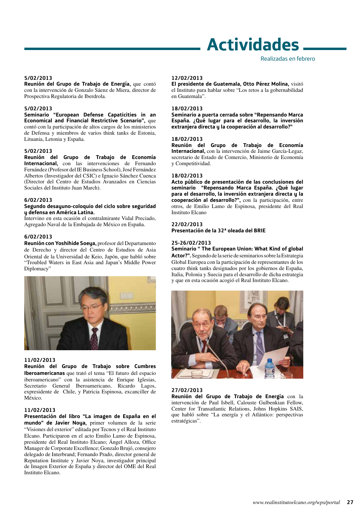## **Actividades**

#### **5/02/2013**

**Reunión del Grupo de Trabajo de Energía,** que contó con la intervención de Gonzalo Sáenz de Miera, director de Prospectiva Regulatoria de Iberdrola.

#### **5/02/2013**

**Seminario "European Defense Capaticities in an Economical and Financial Restrictive Scenario",** que contó con la participación de altos cargos de los ministerios de Defensa y miembros de varios think tanks de Estonia, Lituania, Letonia y España.

#### **5/02/2013**

**Reunión del Grupo de Trabajo de Economía Internacional,** con las intervenciones de Fernando Fernández (Profesor del IE Business School), José Fernández Albertos (Investigador del CSIC) e Ignacio Sánchez Cuenca (Director del Centro de Estudios Avanzados en Ciencias Sociales del Instituto Juan March).

#### **6/02/2013**

#### **Segundo desayuno-coloquio del ciclo sobre seguridad y defensa en América Latina.**

Intervino en esta ocasión el contralmirante Vidal Preciado, Agregado Naval de la Embajada de México en España.

#### **6/02/2013**

**Reunión con Yoshihide Soeya,** profesor del Departamento de Derecho y director del Centro de Estudios de Asia Oriental de la Universidad de Keio, Japón, que habló sobre "Troubled Waters in East Asia and Japan's Middle Power Diplomacy"



#### **11/02/2013**

**Reunión del Grupo de Trabajo sobre Cumbres Iberoamericanas** que trató el tema "El futuro del espacio iberoamericano" con la asistencia de Enrique Iglesias, Secretario General Iberoamericano, Ricardo Lagos, expresidente de Chile, y Patricia Espinosa, excanciller de México.

#### **11/02/2013**

**Presentación del libro "La imagen de España en el mundo" de Javier Noya,** primer volumen de la serie "Visiones del exterior" editada por Tecnos y el Real Instituto Elcano. Participaron en el acto Emilio Lamo de Espinosa, presidente del Real Instituto Elcano; Ángel Alloza, Office Manager de Corporate Excellence; Gonzalo Brujó, consejero delegado de Interbrand; Fernando Prado, director general de Reputation Institute y Javier Noya, investigador principal de Imagen Exterior de España y director del OME del Real Instituto Elcano.

#### **12/02/2013**

**El presidente de Guatemala, Otto Pérez Molina,** visitó el Instituto para hablar sobre "Los retos a la gobernabilidad en Guatemala".

#### **18/02/2013**

**Seminario a puerta cerrada sobre "Repensando Marca España. ¿Qué lugar para el desarrollo, la inversión extranjera directa y la cooperación al desarrollo?"**

#### **18/02/2013**

**Reunión del Grupo de Trabajo de Economía Internacional,** con la intervención de Jaime García-Legaz, secretario de Estado de Comercio, Ministerio de Economía y Competitividad.

#### **18/02/2013**

**Acto público de presentación de las conclusiones del seminario "Repensando Marca España. ¿Qué lugar para el desarrollo, la inversión extranjera directa y la cooperación al desarrollo?",** con la participación, entre otros, de Emilio Lamo de Espinosa, presidente del Real Instituto Elcano

#### **22/02/2013**

**Presentación de la 32ª oleada del BRIE**

#### **25-26/02/2013**

**Seminario " The European Union: What Kind of global Actor?".** Segundo de la serie de seminarios sobre la Estrategia Global Europea con la participación de representantes de los cuatro think tanks designados por los gobiernos de España, Italia, Polonia y Suecia para el desarrollo de dicha estrategia y que en esta ocasión acogió el Real Instituto Elcano.



#### **27/02/2013**

**Reunión del Grupo de Trabajo de Energía** con la intervención de Paul Isbell, Calouste Gulbenkian Fellow, Center for Transatlantic Relations, Johns Hopkins SAIS, que habló sobre "La energía y el Atlántico: perspectivas estratégicas".